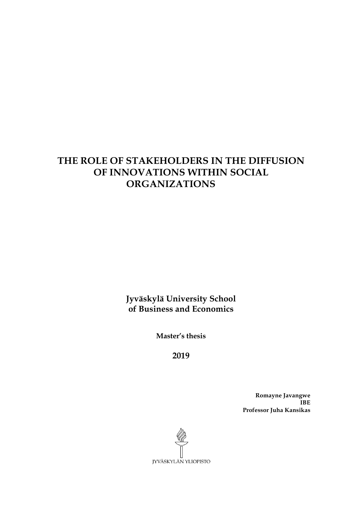# **THE ROLE OF STAKEHOLDERS IN THE DIFFUSION OF INNOVATIONS WITHIN SOCIAL ORGANIZATIONS**

**Jyväskylä University School of Business and Economics**

**Master's thesis**

**2019**

**Romayne Javangwe IBE Professor Juha Kansikas**

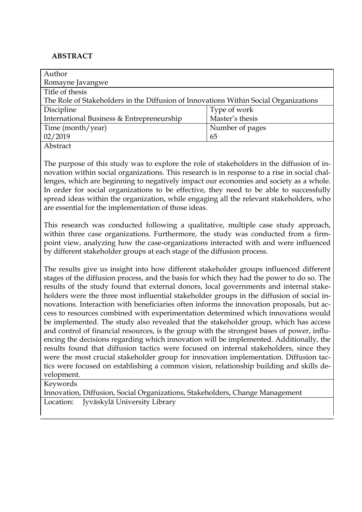# **ABSTRACT**

| Author                                                                               |                 |
|--------------------------------------------------------------------------------------|-----------------|
| Romayne Javangwe                                                                     |                 |
| Title of thesis                                                                      |                 |
| The Role of Stakeholders in the Diffusion of Innovations Within Social Organizations |                 |
| Discipline                                                                           | Type of work    |
| International Business & Entrepreneurship                                            | Master's thesis |
| Time (month/year)                                                                    | Number of pages |
| 02/2019                                                                              | 65              |
| Abstract                                                                             |                 |

The purpose of this study was to explore the role of stakeholders in the diffusion of innovation within social organizations. This research is in response to a rise in social challenges, which are beginning to negatively impact our economies and society as a whole. In order for social organizations to be effective, they need to be able to successfully spread ideas within the organization, while engaging all the relevant stakeholders, who are essential for the implementation of those ideas.

This research was conducted following a qualitative, multiple case study approach, within three case organizations. Furthermore, the study was conducted from a firmpoint view, analyzing how the case-organizations interacted with and were influenced by different stakeholder groups at each stage of the diffusion process.

The results give us insight into how different stakeholder groups influenced different stages of the diffusion process, and the basis for which they had the power to do so. The results of the study found that external donors, local governments and internal stakeholders were the three most influential stakeholder groups in the diffusion of social innovations. Interaction with beneficiaries often informs the innovation proposals, but access to resources combined with experimentation determined which innovations would be implemented. The study also revealed that the stakeholder group, which has access and control of financial resources, is the group with the strongest bases of power, influencing the decisions regarding which innovation will be implemented. Additionally, the results found that diffusion tactics were focused on internal stakeholders, since they were the most crucial stakeholder group for innovation implementation. Diffusion tactics were focused on establishing a common vision, relationship building and skills development.

Keywords

Innovation, Diffusion, Social Organizations, Stakeholders, Change Management Location: Jyväskylä University Library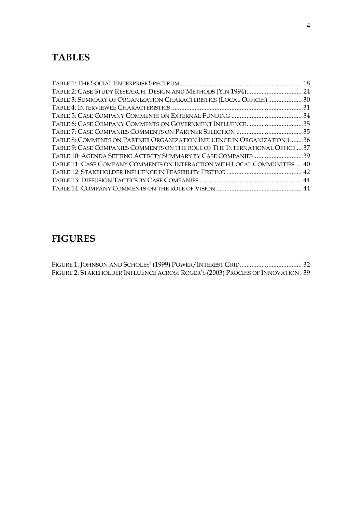# **TABLES**

| TABLE 2: CASE STUDY RESEARCH: DESIGN AND METHODS (YIN 1994) 24               |  |
|------------------------------------------------------------------------------|--|
| TABLE 3: SUMMARY OF ORGANIZATION CHARACTERISTICS (LOCAL OFFICES)  30         |  |
|                                                                              |  |
|                                                                              |  |
| TABLE 6: CASE COMPANY COMMENTS ON GOVERNMENT INFLUENCE 35                    |  |
|                                                                              |  |
| TABLE 8: COMMENTS ON PARTNER ORGANIZATION INFLUENCE IN ORGANIZATION 1  36    |  |
| TABLE 9: CASE COMPANIES COMMENTS ON THE ROLE OF THE INTERNATIONAL OFFICE  37 |  |
| TABLE 10: AGENDA SETTING ACTIVITY SUMMARY BY CASE COMPANIES 39               |  |
| TABLE 11: CASE COMPANY COMMENTS ON INTERACTION WITH LOCAL COMMUNITIES 40     |  |
|                                                                              |  |
|                                                                              |  |
|                                                                              |  |

# **FIGURES**

FIGURE 1: JOHNSON AND SCHOLES' (1999) POWER/INTEREST GRID..................................... 32 FIGURE 2: STAKEHOLDER INFLUENCE ACROSS ROGER'S (2003) PROCESS OF INNOVATION . 39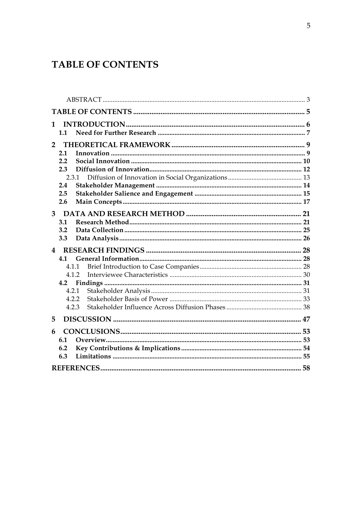# **TABLE OF CONTENTS**

| 1              | 1.1          |  |
|----------------|--------------|--|
| $\overline{2}$ |              |  |
|                | 2.1          |  |
|                | 2.2          |  |
|                | 2.3<br>2.3.1 |  |
|                | 2.4          |  |
|                | 2.5          |  |
|                | 2.6          |  |
| 3 <sup>1</sup> | 3.1          |  |
|                | 3.2          |  |
|                | 3.3          |  |
|                |              |  |
| 4              |              |  |
|                | 4.1          |  |
|                | 4.1.1        |  |
|                | 4.1.2        |  |
|                | 4.2          |  |
|                | 4.2.1        |  |
|                | 4.2.2        |  |
|                | 4.2.3        |  |
| 5              |              |  |
| 6              |              |  |
|                | 6.1          |  |
|                | 6.2          |  |
|                | 6.3          |  |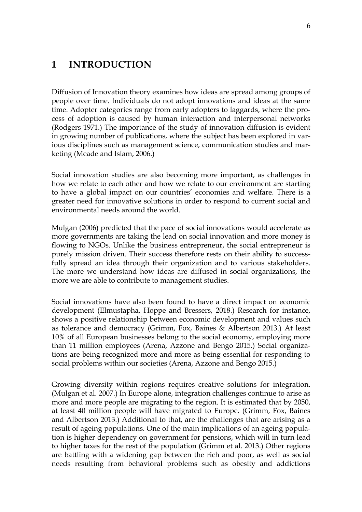# **1 INTRODUCTION**

Diffusion of Innovation theory examines how ideas are spread among groups of people over time. Individuals do not adopt innovations and ideas at the same time. Adopter categories range from early adopters to laggards, where the process of adoption is caused by human interaction and interpersonal networks (Rodgers 1971.) The importance of the study of innovation diffusion is evident in growing number of publications, where the subject has been explored in various disciplines such as management science, communication studies and marketing (Meade and Islam, 2006.)

Social innovation studies are also becoming more important, as challenges in how we relate to each other and how we relate to our environment are starting to have a global impact on our countries' economies and welfare. There is a greater need for innovative solutions in order to respond to current social and environmental needs around the world.

Mulgan (2006) predicted that the pace of social innovations would accelerate as more governments are taking the lead on social innovation and more money is flowing to NGOs. Unlike the business entrepreneur, the social entrepreneur is purely mission driven. Their success therefore rests on their ability to successfully spread an idea through their organization and to various stakeholders. The more we understand how ideas are diffused in social organizations, the more we are able to contribute to management studies.

Social innovations have also been found to have a direct impact on economic development (Elmustapha, Hoppe and Bressers, 2018.) Research for instance, shows a positive relationship between economic development and values such as tolerance and democracy (Grimm, Fox, Baines & Albertson 2013.) At least 10% of all European businesses belong to the social economy, employing more than 11 million employees (Arena, Azzone and Bengo 2015.) Social organizations are being recognized more and more as being essential for responding to social problems within our societies (Arena, Azzone and Bengo 2015.)

Growing diversity within regions requires creative solutions for integration. (Mulgan et al. 2007.) In Europe alone, integration challenges continue to arise as more and more people are migrating to the region. It is estimated that by 2050, at least 40 million people will have migrated to Europe. (Grimm, Fox, Baines and Albertson 2013.) Additional to that, are the challenges that are arising as a result of ageing populations. One of the main implications of an ageing population is higher dependency on government for pensions, which will in turn lead to higher taxes for the rest of the population (Grimm et al. 2013.) Other regions are battling with a widening gap between the rich and poor, as well as social needs resulting from behavioral problems such as obesity and addictions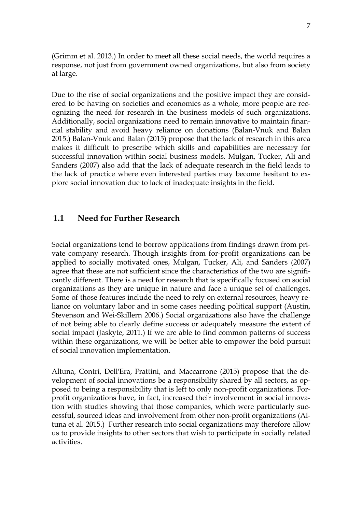(Grimm et al. 2013.) In order to meet all these social needs, the world requires a response, not just from government owned organizations, but also from society at large.

Due to the rise of social organizations and the positive impact they are considered to be having on societies and economies as a whole, more people are recognizing the need for research in the business models of such organizations. Additionally, social organizations need to remain innovative to maintain financial stability and avoid heavy reliance on donations (Balan-Vnuk and Balan 2015.) Balan-Vnuk and Balan (2015) propose that the lack of research in this area makes it difficult to prescribe which skills and capabilities are necessary for successful innovation within social business models. Mulgan, Tucker, Ali and Sanders (2007) also add that the lack of adequate research in the field leads to the lack of practice where even interested parties may become hesitant to explore social innovation due to lack of inadequate insights in the field.

# **1.1 Need for Further Research**

Social organizations tend to borrow applications from findings drawn from private company research. Though insights from for-profit organizations can be applied to socially motivated ones, Mulgan, Tucker, Ali, and Sanders (2007) agree that these are not sufficient since the characteristics of the two are significantly different. There is a need for research that is specifically focused on social organizations as they are unique in nature and face a unique set of challenges. Some of those features include the need to rely on external resources, heavy reliance on voluntary labor and in some cases needing political support (Austin, Stevenson and Wei-Skillern 2006.) Social organizations also have the challenge of not being able to clearly define success or adequately measure the extent of social impact (Jaskyte, 2011.) If we are able to find common patterns of success within these organizations, we will be better able to empower the bold pursuit of social innovation implementation.

Altuna, Contri, Dell'Era, Frattini, and Maccarrone (2015) propose that the development of social innovations be a responsibility shared by all sectors, as opposed to being a responsibility that is left to only non-profit organizations. Forprofit organizations have, in fact, increased their involvement in social innovation with studies showing that those companies, which were particularly successful, sourced ideas and involvement from other non-profit organizations (Altuna et al. 2015.) Further research into social organizations may therefore allow us to provide insights to other sectors that wish to participate in socially related activities.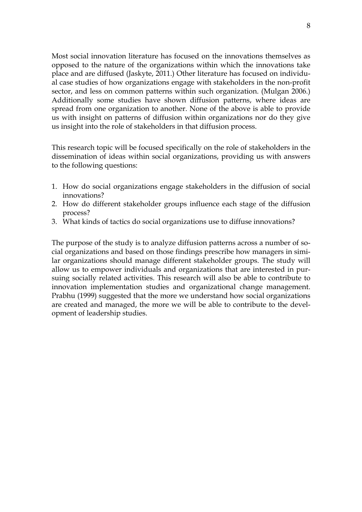Most social innovation literature has focused on the innovations themselves as opposed to the nature of the organizations within which the innovations take place and are diffused (Jaskyte, 2011.) Other literature has focused on individual case studies of how organizations engage with stakeholders in the non-profit sector, and less on common patterns within such organization. (Mulgan 2006.) Additionally some studies have shown diffusion patterns, where ideas are spread from one organization to another. None of the above is able to provide us with insight on patterns of diffusion within organizations nor do they give us insight into the role of stakeholders in that diffusion process.

This research topic will be focused specifically on the role of stakeholders in the dissemination of ideas within social organizations, providing us with answers to the following questions:

- 1. How do social organizations engage stakeholders in the diffusion of social innovations?
- 2. How do different stakeholder groups influence each stage of the diffusion process?
- 3. What kinds of tactics do social organizations use to diffuse innovations?

The purpose of the study is to analyze diffusion patterns across a number of social organizations and based on those findings prescribe how managers in similar organizations should manage different stakeholder groups. The study will allow us to empower individuals and organizations that are interested in pursuing socially related activities. This research will also be able to contribute to innovation implementation studies and organizational change management. Prabhu (1999) suggested that the more we understand how social organizations are created and managed, the more we will be able to contribute to the development of leadership studies.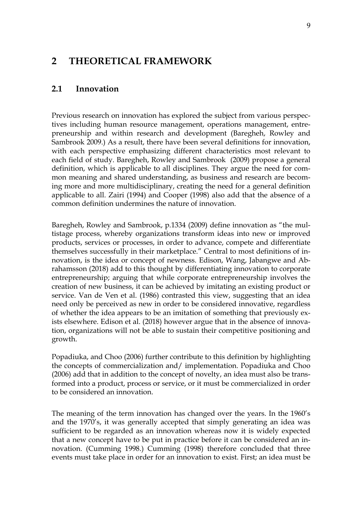# **2 THEORETICAL FRAMEWORK**

## **2.1 Innovation**

Previous research on innovation has explored the subject from various perspectives including human resource management, operations management, entrepreneurship and within research and development (Baregheh, Rowley and Sambrook 2009.) As a result, there have been several definitions for innovation, with each perspective emphasizing different characteristics most relevant to each field of study. Baregheh, Rowley and Sambrook (2009) propose a general definition, which is applicable to all disciplines. They argue the need for common meaning and shared understanding, as business and research are becoming more and more multidisciplinary, creating the need for a general definition applicable to all. Zairi (1994) and Cooper (1998) also add that the absence of a common definition undermines the nature of innovation.

Baregheh, Rowley and Sambrook, p.1334 (2009) define innovation as "the multistage process, whereby organizations transform ideas into new or improved products, services or processes, in order to advance, compete and differentiate themselves successfully in their marketplace." Central to most definitions of innovation, is the idea or concept of newness. Edison, Wang, Jabangwe and Abrahamsson (2018) add to this thought by differentiating innovation to corporate entrepreneurship; arguing that while corporate entrepreneurship involves the creation of new business, it can be achieved by imitating an existing product or service. Van de Ven et al. (1986) contrasted this view, suggesting that an idea need only be perceived as new in order to be considered innovative, regardless of whether the idea appears to be an imitation of something that previously exists elsewhere. Edison et al. (2018) however argue that in the absence of innovation, organizations will not be able to sustain their competitive positioning and growth.

Popadiuka, and Choo (2006) further contribute to this definition by highlighting the concepts of commercialization and/ implementation. Popadiuka and Choo (2006) add that in addition to the concept of novelty, an idea must also be transformed into a product, process or service, or it must be commercialized in order to be considered an innovation.

The meaning of the term innovation has changed over the years. In the 1960's and the 1970's, it was generally accepted that simply generating an idea was sufficient to be regarded as an innovation whereas now it is widely expected that a new concept have to be put in practice before it can be considered an innovation. (Cumming 1998.) Cumming (1998) therefore concluded that three events must take place in order for an innovation to exist. First; an idea must be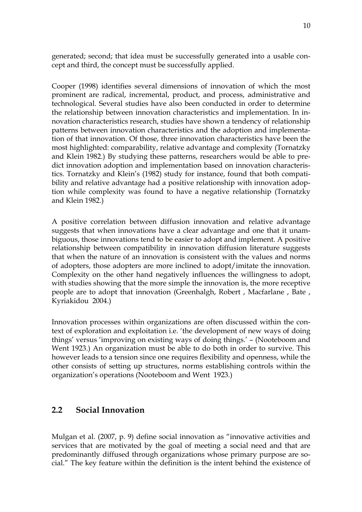generated; second; that idea must be successfully generated into a usable concept and third, the concept must be successfully applied.

Cooper (1998) identifies several dimensions of innovation of which the most prominent are radical, incremental, product, and process, administrative and technological. Several studies have also been conducted in order to determine the relationship between innovation characteristics and implementation. In innovation characteristics research, studies have shown a tendency of relationship patterns between innovation characteristics and the adoption and implementation of that innovation. Of those, three innovation characteristics have been the most highlighted: comparability, relative advantage and complexity (Tornatzky and Klein 1982.) By studying these patterns, researchers would be able to predict innovation adoption and implementation based on innovation characteristics. Tornatzky and Klein's (1982) study for instance, found that both compatibility and relative advantage had a positive relationship with innovation adoption while complexity was found to have a negative relationship (Tornatzky and Klein 1982.)

A positive correlation between diffusion innovation and relative advantage suggests that when innovations have a clear advantage and one that it unambiguous, those innovations tend to be easier to adopt and implement. A positive relationship between compatibility in innovation diffusion literature suggests that when the nature of an innovation is consistent with the values and norms of adopters, those adopters are more inclined to adopt/imitate the innovation. Complexity on the other hand negatively influences the willingness to adopt, with studies showing that the more simple the innovation is, the more receptive people are to adopt that innovation (Greenhalgh, Robert , Macfarlane , Bate , Kyriakidou 2004.)

Innovation processes within organizations are often discussed within the context of exploration and exploitation i.e. 'the development of new ways of doing things' versus 'improving on existing ways of doing things.' – (Nooteboom and Went 1923.) An organization must be able to do both in order to survive. This however leads to a tension since one requires flexibility and openness, while the other consists of setting up structures, norms establishing controls within the organization's operations (Nooteboom and Went 1923.)

# **2.2 Social Innovation**

Mulgan et al. (2007, p. 9) define social innovation as "innovative activities and services that are motivated by the goal of meeting a social need and that are predominantly diffused through organizations whose primary purpose are social." The key feature within the definition is the intent behind the existence of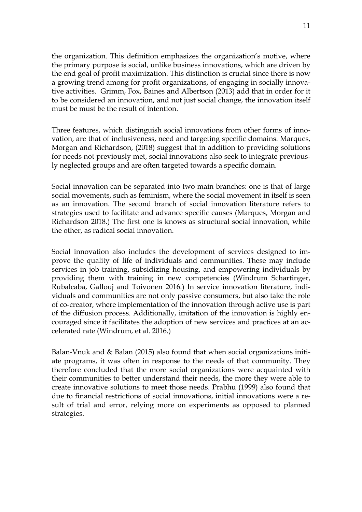the organization. This definition emphasizes the organization's motive, where the primary purpose is social, unlike business innovations, which are driven by the end goal of profit maximization. This distinction is crucial since there is now a growing trend among for profit organizations, of engaging in socially innovative activities. Grimm, Fox, Baines and Albertson (2013) add that in order for it to be considered an innovation, and not just social change, the innovation itself must be must be the result of intention.

Three features, which distinguish social innovations from other forms of innovation, are that of inclusiveness, need and targeting specific domains. Marques, Morgan and Richardson, (2018) suggest that in addition to providing solutions for needs not previously met, social innovations also seek to integrate previously neglected groups and are often targeted towards a specific domain.

Social innovation can be separated into two main branches: one is that of large social movements, such as feminism, where the social movement in itself is seen as an innovation. The second branch of social innovation literature refers to strategies used to facilitate and advance specific causes (Marques, Morgan and Richardson 2018.) The first one is knows as structural social innovation, while the other, as radical social innovation.

Social innovation also includes the development of services designed to improve the quality of life of individuals and communities. These may include services in job training, subsidizing housing, and empowering individuals by providing them with training in new competencies (Windrum Schartinger, Rubalcaba, Gallouj and Toivonen 2016.) In service innovation literature, individuals and communities are not only passive consumers, but also take the role of co-creator, where implementation of the innovation through active use is part of the diffusion process. Additionally, imitation of the innovation is highly encouraged since it facilitates the adoption of new services and practices at an accelerated rate (Windrum, et al. 2016.)

Balan-Vnuk and & Balan (2015) also found that when social organizations initiate programs, it was often in response to the needs of that community. They therefore concluded that the more social organizations were acquainted with their communities to better understand their needs, the more they were able to create innovative solutions to meet those needs. Prabhu (1999) also found that due to financial restrictions of social innovations, initial innovations were a result of trial and error, relying more on experiments as opposed to planned strategies.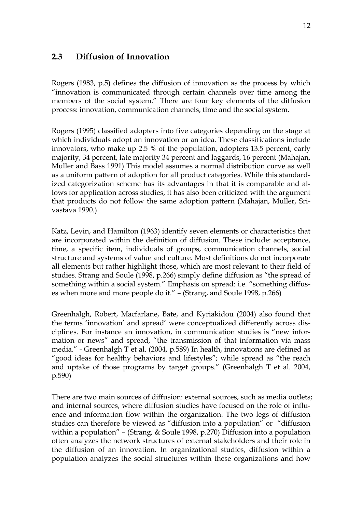# **2.3 Diffusion of Innovation**

Rogers (1983, p.5) defines the diffusion of innovation as the process by which "innovation is communicated through certain channels over time among the members of the social system." There are four key elements of the diffusion process: innovation, communication channels, time and the social system.

Rogers (1995) classified adopters into five categories depending on the stage at which individuals adopt an innovation or an idea. These classifications include innovators, who make up 2.5 % of the population, adopters 13.5 percent, early majority, 34 percent, late majority 34 percent and laggards, 16 percent (Mahajan, Muller and Bass 1991) This model assumes a normal distribution curve as well as a uniform pattern of adoption for all product categories. While this standardized categorization scheme has its advantages in that it is comparable and allows for application across studies, it has also been criticized with the argument that products do not follow the same adoption pattern (Mahajan, Muller, Srivastava 1990.)

Katz, Levin, and Hamilton (1963) identify seven elements or characteristics that are incorporated within the definition of diffusion. These include: acceptance, time, a specific item, individuals of groups, communication channels, social structure and systems of value and culture. Most definitions do not incorporate all elements but rather highlight those, which are most relevant to their field of studies. Strang and Soule (1998, p.266) simply define diffusion as "the spread of something within a social system." Emphasis on spread: i.e. "something diffuses when more and more people do it." – (Strang, and Soule 1998, p.266)

Greenhalgh, Robert, Macfarlane, Bate, and Kyriakidou (2004) also found that the terms 'innovation' and spread' were conceptualized differently across disciplines. For instance an innovation, in communication studies is "new information or news" and spread, "the transmission of that information via mass media." - Greenhalgh T et al. (2004, p.589) In health, innovations are defined as "good ideas for healthy behaviors and lifestyles"; while spread as "the reach and uptake of those programs by target groups." (Greenhalgh T et al. 2004, p.590)

There are two main sources of diffusion: external sources, such as media outlets; and internal sources, where diffusion studies have focused on the role of influence and information flow within the organization. The two legs of diffusion studies can therefore be viewed as "diffusion into a population" or "diffusion within a population" – (Strang, & Soule 1998, p.270) Diffusion into a population often analyzes the network structures of external stakeholders and their role in the diffusion of an innovation. In organizational studies, diffusion within a population analyzes the social structures within these organizations and how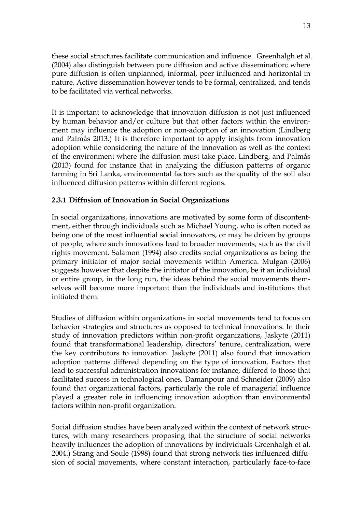these social structures facilitate communication and influence. Greenhalgh et al. (2004) also distinguish between pure diffusion and active dissemination; where pure diffusion is often unplanned, informal, peer influenced and horizontal in nature. Active dissemination however tends to be formal, centralized, and tends to be facilitated via vertical networks.

It is important to acknowledge that innovation diffusion is not just influenced by human behavior and/or culture but that other factors within the environment may influence the adoption or non-adoption of an innovation (Lindberg and Palmås 2013.) It is therefore important to apply insights from innovation adoption while considering the nature of the innovation as well as the context of the environment where the diffusion must take place. Lindberg, and Palmås (2013) found for instance that in analyzing the diffusion patterns of organic farming in Sri Lanka, environmental factors such as the quality of the soil also influenced diffusion patterns within different regions.

# **2.3.1 Diffusion of Innovation in Social Organizations**

In social organizations, innovations are motivated by some form of discontentment, either through individuals such as Michael Young, who is often noted as being one of the most influential social innovators, or may be driven by groups of people, where such innovations lead to broader movements, such as the civil rights movement. Salamon (1994) also credits social organizations as being the primary initiator of major social movements within America. Mulgan (2006) suggests however that despite the initiator of the innovation, be it an individual or entire group, in the long run, the ideas behind the social movements themselves will become more important than the individuals and institutions that initiated them.

Studies of diffusion within organizations in social movements tend to focus on behavior strategies and structures as opposed to technical innovations. In their study of innovation predictors within non-profit organizations, Jaskyte (2011) found that transformational leadership, directors' tenure, centralization, were the key contributors to innovation. Jaskyte (2011) also found that innovation adoption patterns differed depending on the type of innovation. Factors that lead to successful administration innovations for instance, differed to those that facilitated success in technological ones. Damanpour and Schneider (2009) also found that organizational factors, particularly the role of managerial influence played a greater role in influencing innovation adoption than environmental factors within non-profit organization.

Social diffusion studies have been analyzed within the context of network structures, with many researchers proposing that the structure of social networks heavily influences the adoption of innovations by individuals Greenhalgh et al. 2004.) Strang and Soule (1998) found that strong network ties influenced diffusion of social movements, where constant interaction, particularly face-to-face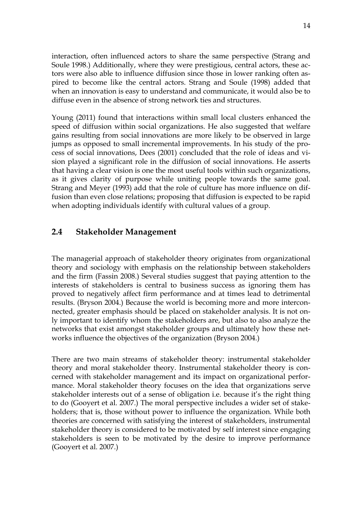interaction, often influenced actors to share the same perspective (Strang and Soule 1998.) Additionally, where they were prestigious, central actors, these actors were also able to influence diffusion since those in lower ranking often aspired to become like the central actors. Strang and Soule (1998) added that when an innovation is easy to understand and communicate, it would also be to diffuse even in the absence of strong network ties and structures.

Young (2011) found that interactions within small local clusters enhanced the speed of diffusion within social organizations. He also suggested that welfare gains resulting from social innovations are more likely to be observed in large jumps as opposed to small incremental improvements. In his study of the process of social innovations, Dees (2001) concluded that the role of ideas and vision played a significant role in the diffusion of social innovations. He asserts that having a clear vision is one the most useful tools within such organizations, as it gives clarity of purpose while uniting people towards the same goal. Strang and Meyer (1993) add that the role of culture has more influence on diffusion than even close relations; proposing that diffusion is expected to be rapid when adopting individuals identify with cultural values of a group.

## **2.4 Stakeholder Management**

The managerial approach of stakeholder theory originates from organizational theory and sociology with emphasis on the relationship between stakeholders and the firm (Fassin 2008.) Several studies suggest that paying attention to the interests of stakeholders is central to business success as ignoring them has proved to negatively affect firm performance and at times lead to detrimental results. (Bryson 2004.) Because the world is becoming more and more interconnected, greater emphasis should be placed on stakeholder analysis. It is not only important to identify whom the stakeholders are, but also to also analyze the networks that exist amongst stakeholder groups and ultimately how these networks influence the objectives of the organization (Bryson 2004.)

There are two main streams of stakeholder theory: instrumental stakeholder theory and moral stakeholder theory. Instrumental stakeholder theory is concerned with stakeholder management and its impact on organizational performance. Moral stakeholder theory focuses on the idea that organizations serve stakeholder interests out of a sense of obligation i.e. because it's the right thing to do (Gooyert et al. 2007.) The moral perspective includes a wider set of stakeholders; that is, those without power to influence the organization. While both theories are concerned with satisfying the interest of stakeholders, instrumental stakeholder theory is considered to be motivated by self interest since engaging stakeholders is seen to be motivated by the desire to improve performance (Gooyert et al. 2007.)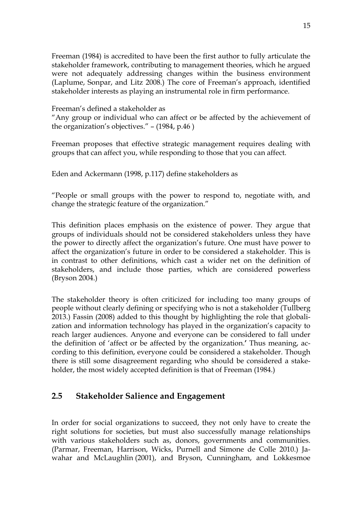Freeman (1984) is accredited to have been the first author to fully articulate the stakeholder framework, contributing to management theories, which he argued were not adequately addressing changes within the business environment (Laplume, Sonpar, and Litz 2008.) The core of Freeman's approach, identified stakeholder interests as playing an instrumental role in firm performance.

Freeman's defined a stakeholder as

"Any group or individual who can affect or be affected by the achievement of the organization's objectives." – (1984, p.46 )

Freeman proposes that effective strategic management requires dealing with groups that can affect you, while responding to those that you can affect.

Eden and Ackermann (1998, p.117) define stakeholders as

"People or small groups with the power to respond to, negotiate with, and change the strategic feature of the organization."

This definition places emphasis on the existence of power. They argue that groups of individuals should not be considered stakeholders unless they have the power to directly affect the organization's future. One must have power to affect the organization's future in order to be considered a stakeholder. This is in contrast to other definitions, which cast a wider net on the definition of stakeholders, and include those parties, which are considered powerless (Bryson 2004.)

The stakeholder theory is often criticized for including too many groups of people without clearly defining or specifying who is not a stakeholder (Tullberg 2013.) Fassin (2008) added to this thought by highlighting the role that globalization and information technology has played in the organization's capacity to reach larger audiences. Anyone and everyone can be considered to fall under the definition of 'affect or be affected by the organization.**'** Thus meaning, according to this definition, everyone could be considered a stakeholder. Though there is still some disagreement regarding who should be considered a stakeholder, the most widely accepted definition is that of Freeman (1984.)

# **2.5 Stakeholder Salience and Engagement**

In order for social organizations to succeed, they not only have to create the right solutions for societies, but must also successfully manage relationships with various stakeholders such as, donors, governments and communities. (Parmar, Freeman, Harrison, Wicks, Purnell and Simone de Colle 2010.) Jawahar and McLaughlin (2001), and Bryson, Cunningham, and Lokkesmoe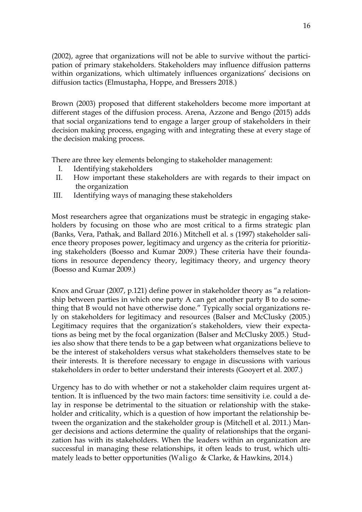(2002), agree that organizations will not be able to survive without the participation of primary stakeholders. Stakeholders may influence diffusion patterns within organizations, which ultimately influences organizations' decisions on diffusion tactics (Elmustapha, Hoppe, and Bressers 2018.)

Brown (2003) proposed that different stakeholders become more important at different stages of the diffusion process. Arena, Azzone and Bengo (2015) adds that social organizations tend to engage a larger group of stakeholders in their decision making process, engaging with and integrating these at every stage of the decision making process.

There are three key elements belonging to stakeholder management:

- I. Identifying stakeholders
- II. How important these stakeholders are with regards to their impact on the organization
- III. Identifying ways of managing these stakeholders

Most researchers agree that organizations must be strategic in engaging stakeholders by focusing on those who are most critical to a firms strategic plan (Banks, Vera, Pathak, and Ballard 2016.) Mitchell et al. s (1997) stakeholder salience theory proposes power, legitimacy and urgency as the criteria for prioritizing stakeholders (Boesso and Kumar 2009.) These criteria have their foundations in resource dependency theory, legitimacy theory, and urgency theory (Boesso and Kumar 2009.)

Knox and Gruar (2007, p.121) define power in stakeholder theory as "a relationship between parties in which one party A can get another party B to do something that B would not have otherwise done." Typically social organizations rely on stakeholders for legitimacy and resources (Balser and McClusky (2005.) Legitimacy requires that the organization's stakeholders, view their expectations as being met by the focal organization (Balser and McClusky 2005.) Studies also show that there tends to be a gap between what organizations believe to be the interest of stakeholders versus what stakeholders themselves state to be their interests. It is therefore necessary to engage in discussions with various stakeholders in order to better understand their interests (Gooyert et al. 2007.)

Urgency has to do with whether or not a stakeholder claim requires urgent attention. It is influenced by the two main factors: time sensitivity i.e. could a delay in response be detrimental to the situation or relationship with the stakeholder and criticality, which is a question of how important the relationship between the organization and the stakeholder group is (Mitchell et al. 2011.) Manger decisions and actions determine the quality of relationships that the organization has with its stakeholders. When the leaders within an organization are successful in managing these relationships, it often leads to trust, which ultimately leads to better opportunities (Waligo & Clarke, & Hawkins, 2014.)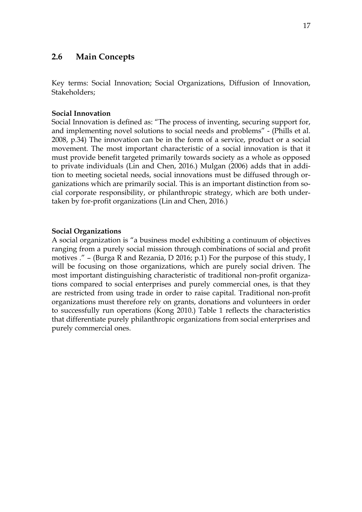# **2.6 Main Concepts**

Key terms: Social Innovation; Social Organizations, Diffusion of Innovation, Stakeholders;

#### **Social Innovation**

Social Innovation is defined as: "The process of inventing, securing support for, and implementing novel solutions to social needs and problems" - (Phills et al. 2008, p.34) The innovation can be in the form of a service, product or a social movement. The most important characteristic of a social innovation is that it must provide benefit targeted primarily towards society as a whole as opposed to private individuals (Lin and Chen, 2016.) Mulgan (2006) adds that in addition to meeting societal needs, social innovations must be diffused through organizations which are primarily social. This is an important distinction from social corporate responsibility, or philanthropic strategy, which are both undertaken by for-profit organizations (Lin and Chen, 2016.)

#### **Social Organizations**

A social organization is "a business model exhibiting a continuum of objectives ranging from a purely social mission through combinations of social and profit motives ." – (Burga R and Rezania, D 2016; p.1) For the purpose of this study, I will be focusing on those organizations, which are purely social driven. The most important distinguishing characteristic of traditional non-profit organizations compared to social enterprises and purely commercial ones, is that they are restricted from using trade in order to raise capital. Traditional non-profit organizations must therefore rely on grants, donations and volunteers in order to successfully run operations (Kong 2010.) Table 1 reflects the characteristics that differentiate purely philanthropic organizations from social enterprises and purely commercial ones.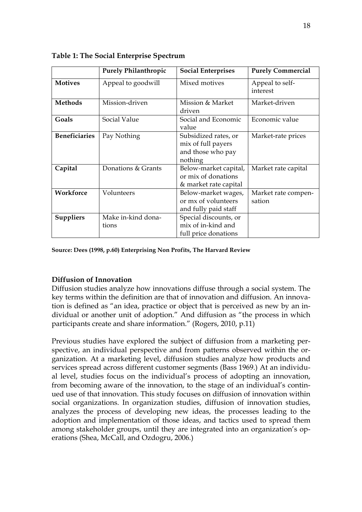|                      | <b>Purely Philanthropic</b> | <b>Social Enterprises</b>                                                  | <b>Purely Commercial</b>      |
|----------------------|-----------------------------|----------------------------------------------------------------------------|-------------------------------|
| <b>Motives</b>       | Appeal to goodwill          | Mixed motives                                                              | Appeal to self-<br>interest   |
| Methods              | Mission-driven              | Mission & Market<br>driven                                                 | Market-driven                 |
| Goals                | Social Value                | Social and Economic<br>value                                               | Economic value                |
| <b>Beneficiaries</b> | Pay Nothing                 | Subsidized rates, or<br>mix of full payers<br>and those who pay<br>nothing | Market-rate prices            |
| Capital              | Donations & Grants          | Below-market capital,<br>or mix of donations<br>& market rate capital      | Market rate capital           |
| Workforce            | Volunteers                  | Below-market wages,<br>or mx of volunteers<br>and fully paid staff         | Market rate compen-<br>sation |
| <b>Suppliers</b>     | Make in-kind dona-<br>tions | Special discounts, or<br>mix of in-kind and<br>full price donations        |                               |

**Table 1: The Social Enterprise Spectrum**

**Source: Dees (1998, p.60) Enterprising Non Profits, The Harvard Review** 

# **Diffusion of Innovation**

Diffusion studies analyze how innovations diffuse through a social system. The key terms within the definition are that of innovation and diffusion. An innovation is defined as "an idea, practice or object that is perceived as new by an individual or another unit of adoption." And diffusion as "the process in which participants create and share information." (Rogers, 2010, p.11)

Previous studies have explored the subject of diffusion from a marketing perspective, an individual perspective and from patterns observed within the organization. At a marketing level, diffusion studies analyze how products and services spread across different customer segments (Bass 1969.) At an individual level, studies focus on the individual's process of adopting an innovation, from becoming aware of the innovation, to the stage of an individual's continued use of that innovation. This study focuses on diffusion of innovation within social organizations. In organization studies, diffusion of innovation studies, analyzes the process of developing new ideas, the processes leading to the adoption and implementation of those ideas, and tactics used to spread them among stakeholder groups, until they are integrated into an organization's operations (Shea, McCall, and Ozdogru, 2006.)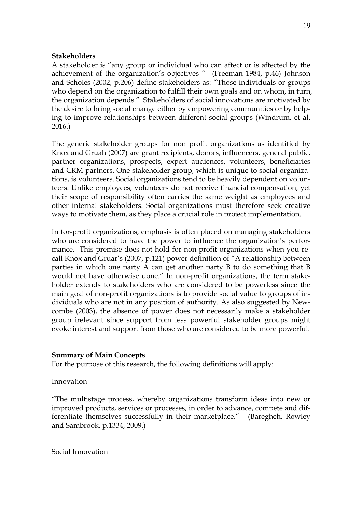#### **Stakeholders**

A stakeholder is "any group or individual who can affect or is affected by the achievement of the organization's objectives "– (Freeman 1984, p.46) Johnson and Scholes (2002, p.206) define stakeholders as: "Those individuals or groups who depend on the organization to fulfill their own goals and on whom, in turn, the organization depends." Stakeholders of social innovations are motivated by the desire to bring social change either by empowering communities or by helping to improve relationships between different social groups (Windrum, et al. 2016.)

The generic stakeholder groups for non profit organizations as identified by Knox and Gruah (2007) are grant recipients, donors, influencers, general public, partner organizations, prospects, expert audiences, volunteers, beneficiaries and CRM partners. One stakeholder group, which is unique to social organizations, is volunteers. Social organizations tend to be heavily dependent on volunteers. Unlike employees, volunteers do not receive financial compensation, yet their scope of responsibility often carries the same weight as employees and other internal stakeholders. Social organizations must therefore seek creative ways to motivate them, as they place a crucial role in project implementation.

In for-profit organizations, emphasis is often placed on managing stakeholders who are considered to have the power to influence the organization's performance. This premise does not hold for non-profit organizations when you recall Knox and Gruar's (2007, p.121) power definition of "A relationship between parties in which one party A can get another party B to do something that B would not have otherwise done." In non-profit organizations, the term stakeholder extends to stakeholders who are considered to be powerless since the main goal of non-profit organizations is to provide social value to groups of individuals who are not in any position of authority. As also suggested by Newcombe (2003), the absence of power does not necessarily make a stakeholder group irelevant since support from less powerful stakeholder groups might evoke interest and support from those who are considered to be more powerful.

#### **Summary of Main Concepts**

For the purpose of this research, the following definitions will apply:

#### Innovation

"The multistage process, whereby organizations transform ideas into new or improved products, services or processes, in order to advance, compete and differentiate themselves successfully in their marketplace." - (Baregheh, Rowley and Sambrook, p.1334, 2009.)

Social Innovation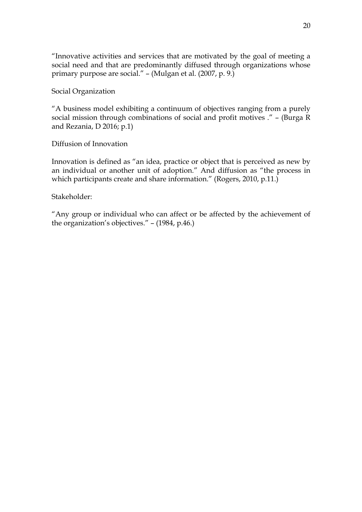"Innovative activities and services that are motivated by the goal of meeting a social need and that are predominantly diffused through organizations whose primary purpose are social." – (Mulgan et al. (2007, p. 9.)

Social Organization

"A business model exhibiting a continuum of objectives ranging from a purely social mission through combinations of social and profit motives ." – (Burga R and Rezania, D 2016; p.1)

Diffusion of Innovation

Innovation is defined as "an idea, practice or object that is perceived as new by an individual or another unit of adoption." And diffusion as "the process in which participants create and share information." (Rogers, 2010, p.11.)

Stakeholder:

"Any group or individual who can affect or be affected by the achievement of the organization's objectives." – (1984, p.46.)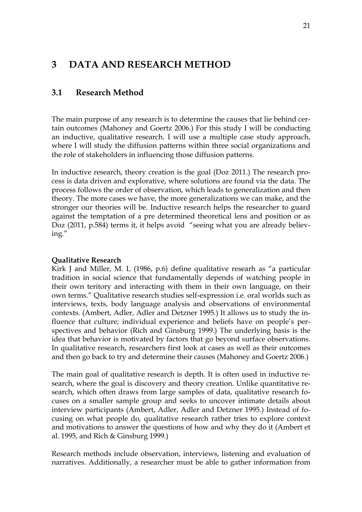# **3 DATA AND RESEARCH METHOD**

# **3.1 Research Method**

The main purpose of any research is to determine the causes that lie behind certain outcomes (Mahoney and Goertz 2006.) For this study I will be conducting an inductive, qualitative research. I will use a multiple case study approach, where I will study the diffusion patterns within three social organizations and the role of stakeholders in influencing those diffusion patterns.

In inductive research, theory creation is the goal (Doz 2011.) The research process is data driven and explorative, where solutions are found via the data. The process follows the order of observation, which leads to generalization and then theory. The more cases we have, the more generalizations we can make, and the stronger our theories will be. Inductive research helps the researcher to guard against the temptation of a pre determined theoretical lens and position or as Doz (2011, p.584) terms it, it helps avoid "seeing what you are already believing."

#### **Qualitative Research**

Kirk J and Miller, M. L (1986, p.6) define qualitative researh as "a particular tradition in social science that fundamentally depends of watching people in their own teritory and interacting with them in their own language, on their own terms." Qualitative research studies self-expression i.e. oral worlds such as interviews, texts, body language analysis and observations of environmental contexts. (Ambert, Adler, Adler and Detzner 1995.) It allows us to study the influence that culture; individual experience and beliefs have on people's perspectives and behavior (Rich and Ginsburg 1999.) The underlying basis is the idea that behavior is motivated by factors that go beyond surface observations. In qualitative research, researchers first look at cases as well as their outcomes and then go back to try and determine their causes (Mahoney and Goertz 2006.)

The main goal of qualitative research is depth. It is often used in inductive research, where the goal is discovery and theory creation. Unlike quantitative research, which often draws from large samples of data, qualitative research focuses on a smaller sample group and seeks to uncover intimate details about interview participants (Ambert, Adler, Adler and Detzner 1995.) Instead of focusing on what people do, qualitative research rather tries to explore context and motivations to answer the questions of how and why they do it (Ambert et al. 1995, and Rich & Ginsburg 1999.)

Research methods include observation, interviews, listening and evaluation of narratives. Additionally, a researcher must be able to gather information from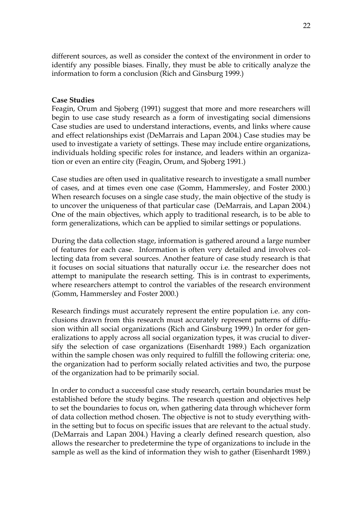different sources, as well as consider the context of the environment in order to identify any possible biases. Finally, they must be able to critically analyze the information to form a conclusion (Rich and Ginsburg 1999.)

#### **Case Studies**

Feagin, Orum and Sjoberg (1991) suggest that more and more researchers will begin to use case study research as a form of investigating social dimensions Case studies are used to understand interactions, events, and links where cause and effect relationships exist (DeMarrais and Lapan 2004.) Case studies may be used to investigate a variety of settings. These may include entire organizations, individuals holding specific roles for instance, and leaders within an organization or even an entire city (Feagin, Orum, and Sjoberg 1991.)

Case studies are often used in qualitative research to investigate a small number of cases, and at times even one case (Gomm, Hammersley, and Foster 2000.) When research focuses on a single case study, the main objective of the study is to uncover the uniqueness of that particular case (DeMarrais, and Lapan 2004.) One of the main objectives, which apply to traditional research, is to be able to form generalizations, which can be applied to similar settings or populations.

During the data collection stage, information is gathered around a large number of features for each case. Information is often very detailed and involves collecting data from several sources. Another feature of case study research is that it focuses on social situations that naturally occur i.e. the researcher does not attempt to manipulate the research setting. This is in contrast to experiments, where researchers attempt to control the variables of the research environment (Gomm, Hammersley and Foster 2000.)

Research findings must accurately represent the entire population i.e. any conclusions drawn from this research must accurately represent patterns of diffusion within all social organizations (Rich and Ginsburg 1999.) In order for generalizations to apply across all social organization types, it was crucial to diversify the selection of case organizations (Eisenhardt 1989.) Each organization within the sample chosen was only required to fulfill the following criteria: one, the organization had to perform socially related activities and two, the purpose of the organization had to be primarily social.

In order to conduct a successful case study research, certain boundaries must be established before the study begins. The research question and objectives help to set the boundaries to focus on, when gathering data through whichever form of data collection method chosen. The objective is not to study everything within the setting but to focus on specific issues that are relevant to the actual study. (DeMarrais and Lapan 2004.) Having a clearly defined research question, also allows the researcher to predetermine the type of organizations to include in the sample as well as the kind of information they wish to gather (Eisenhardt 1989.)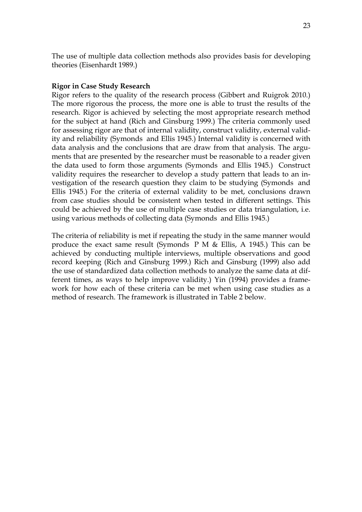The use of multiple data collection methods also provides basis for developing theories (Eisenhardt 1989.)

#### **Rigor in Case Study Research**

Rigor refers to the quality of the research process (Gibbert and Ruigrok 2010.) The more rigorous the process, the more one is able to trust the results of the research. Rigor is achieved by selecting the most appropriate research method for the subject at hand (Rich and Ginsburg 1999.) The criteria commonly used for assessing rigor are that of internal validity, construct validity, external validity and reliability (Symonds and Ellis 1945.) Internal validity is concerned with data analysis and the conclusions that are draw from that analysis. The arguments that are presented by the researcher must be reasonable to a reader given the data used to form those arguments (Symonds and Ellis 1945.) Construct validity requires the researcher to develop a study pattern that leads to an investigation of the research question they claim to be studying (Symonds and Ellis 1945.) For the criteria of external validity to be met, conclusions drawn from case studies should be consistent when tested in different settings. This could be achieved by the use of multiple case studies or data triangulation, i.e. using various methods of collecting data (Symonds and Ellis 1945.)

The criteria of reliability is met if repeating the study in the same manner would produce the exact same result (Symonds P M & Ellis, A 1945.) This can be achieved by conducting multiple interviews, multiple observations and good record keeping (Rich and Ginsburg 1999.) Rich and Ginsburg (1999) also add the use of standardized data collection methods to analyze the same data at different times, as ways to help improve validity.) Yin (1994) provides a framework for how each of these criteria can be met when using case studies as a method of research. The framework is illustrated in Table 2 below.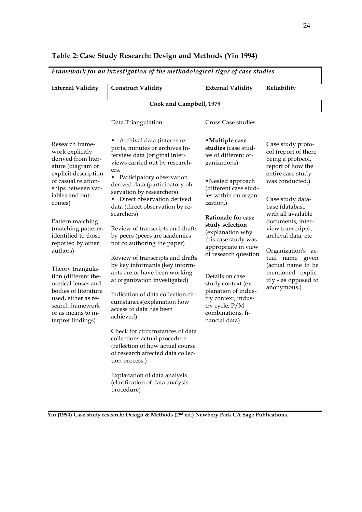| <b>Internal Validity</b>                                                                                                                                                       | <b>Construct Validity</b>                                                                                                                                  | <b>External Validity</b>                                                                           | Reliability                                                     |                                                                                     |
|--------------------------------------------------------------------------------------------------------------------------------------------------------------------------------|------------------------------------------------------------------------------------------------------------------------------------------------------------|----------------------------------------------------------------------------------------------------|-----------------------------------------------------------------|-------------------------------------------------------------------------------------|
|                                                                                                                                                                                | Cook and Campbell, 1979                                                                                                                                    |                                                                                                    |                                                                 |                                                                                     |
|                                                                                                                                                                                | Data Triangulation                                                                                                                                         | Cross Case studies                                                                                 |                                                                 |                                                                                     |
| Research frame-<br>work explicitly<br>derived from liter-<br>ature (diagram or                                                                                                 | Archival data (interns re-<br>ports, minutes or archives In-<br>terview data (original inter-<br>views carried out by research-<br>ers.                    | • Multiple case<br>studies (case stud-<br>ies of different or-<br>ganizations)                     |                                                                 | Case study proto-<br>col (report of there<br>being a protocol,<br>report of how the |
| explicit description<br>of casual relation-<br>ships between var-<br>iables and out-                                                                                           | Participatory observation<br>$\bullet$<br>derived data (participatory ob-<br>servation by researchers)<br>Direct observation derived<br>$\bullet$          | •Nested approach<br>(different case stud-<br>ies within on organ-                                  | entire case study<br>was conducted.)<br>Case study data-        |                                                                                     |
| comes)                                                                                                                                                                         | data (direct observation by re-<br>searchers)                                                                                                              | ization.)<br><b>Rationale for case</b>                                                             | base (database<br>with all available                            |                                                                                     |
| Pattern matching<br>(matching patterns<br>identified to those                                                                                                                  | Review of transcripts and drafts<br>by peers (peers are academics                                                                                          | study selection<br>(explanation why<br>this case study was                                         | documents, inter-<br>view transcripts,<br>archival data, etc    |                                                                                     |
| reported by other<br>authors)                                                                                                                                                  | not co authoring the paper)<br>Review of transcripts and drafts                                                                                            | appropriate in view<br>of research question                                                        | Organization's ac-<br>tual name given                           |                                                                                     |
| Theory triangula-<br>tion (different the-<br>oretical lenses and<br>bodies of literature<br>used, either as re-<br>search framework<br>or as means to in-<br>terpret findings) | by key informants (key inform-<br>ants are or have been working<br>at organization investigated)                                                           | Details on case<br>study context (ex-                                                              | (actual name to be<br>mentioned explic-<br>itly - as opposed to |                                                                                     |
|                                                                                                                                                                                | Indication of data collection cir-<br>cumstances(explanation how<br>access to data has been<br>achieved)                                                   | planation of indus-<br>try context, indus-<br>try cycle, P/M<br>combinations, fi-<br>nancial data) | anonymous.)                                                     |                                                                                     |
|                                                                                                                                                                                | Check for circumstances of data<br>collections actual procedure<br>(reflection of how actual course<br>of research affected data collec-<br>tion process.) |                                                                                                    |                                                                 |                                                                                     |
|                                                                                                                                                                                | Explanation of data analysis<br>(clarification of data analysis<br>procedure)                                                                              |                                                                                                    |                                                                 |                                                                                     |

# **Table 2: Case Study Research: Design and Methods (Yin 1994)**

**Yin (1994) Case study research: Design & Methods (2nd ed.) Newbery Park CA Sage Publications**.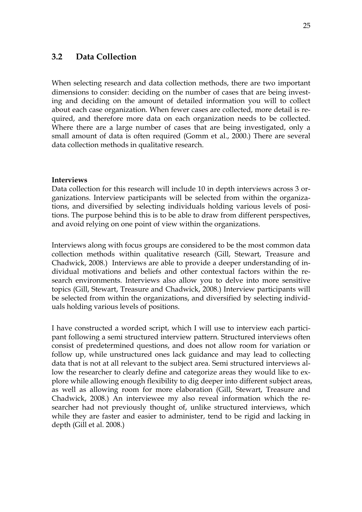# **3.2 Data Collection**

When selecting research and data collection methods, there are two important dimensions to consider: deciding on the number of cases that are being investing and deciding on the amount of detailed information you will to collect about each case organization. When fewer cases are collected, more detail is required, and therefore more data on each organization needs to be collected. Where there are a large number of cases that are being investigated, only a small amount of data is often required (Gomm et al., 2000.) There are several data collection methods in qualitative research.

#### **Interviews**

Data collection for this research will include 10 in depth interviews across 3 organizations. Interview participants will be selected from within the organizations, and diversified by selecting individuals holding various levels of positions. The purpose behind this is to be able to draw from different perspectives, and avoid relying on one point of view within the organizations.

Interviews along with focus groups are considered to be the most common data collection methods within qualitative research (Gill, Stewart, Treasure and Chadwick, 2008.) Interviews are able to provide a deeper understanding of individual motivations and beliefs and other contextual factors within the research environments. Interviews also allow you to delve into more sensitive topics (Gill, Stewart, Treasure and Chadwick, 2008.) Interview participants will be selected from within the organizations, and diversified by selecting individuals holding various levels of positions.

I have constructed a worded script, which I will use to interview each participant following a semi structured interview pattern. Structured interviews often consist of predetermined questions, and does not allow room for variation or follow up, while unstructured ones lack guidance and may lead to collecting data that is not at all relevant to the subject area. Semi structured interviews allow the researcher to clearly define and categorize areas they would like to explore while allowing enough flexibility to dig deeper into different subject areas, as well as allowing room for more elaboration (Gill, Stewart, Treasure and Chadwick, 2008.) An interviewee my also reveal information which the researcher had not previously thought of, unlike structured interviews, which while they are faster and easier to administer, tend to be rigid and lacking in depth (Gill et al. 2008.)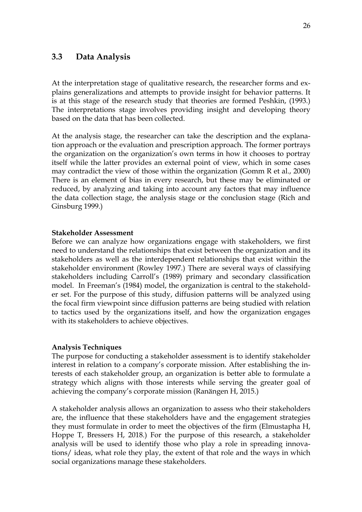# **3.3 Data Analysis**

At the interpretation stage of qualitative research, the researcher forms and explains generalizations and attempts to provide insight for behavior patterns. It is at this stage of the research study that theories are formed Peshkin, (1993.) The interpretations stage involves providing insight and developing theory based on the data that has been collected.

At the analysis stage, the researcher can take the description and the explanation approach or the evaluation and prescription approach. The former portrays the organization on the organization's own terms in how it chooses to portray itself while the latter provides an external point of view, which in some cases may contradict the view of those within the organization (Gomm R et al., 2000) There is an element of bias in every research, but these may be eliminated or reduced, by analyzing and taking into account any factors that may influence the data collection stage, the analysis stage or the conclusion stage (Rich and Ginsburg 1999.)

#### **Stakeholder Assessment**

Before we can analyze how organizations engage with stakeholders, we first need to understand the relationships that exist between the organization and its stakeholders as well as the interdependent relationships that exist within the stakeholder environment (Rowley 1997.) There are several ways of classifying stakeholders including Carroll's (1989) primary and secondary classification model. In Freeman's (1984) model, the organization is central to the stakeholder set. For the purpose of this study, diffusion patterns will be analyzed using the focal firm viewpoint since diffusion patterns are being studied with relation to tactics used by the organizations itself, and how the organization engages with its stakeholders to achieve objectives.

#### **Analysis Techniques**

The purpose for conducting a stakeholder assessment is to identify stakeholder interest in relation to a company's corporate mission. After establishing the interests of each stakeholder group, an organization is better able to formulate a strategy which aligns with those interests while serving the greater goal of achieving the company's corporate mission (Ranängen H, 2015.)

A stakeholder analysis allows an organization to assess who their stakeholders are, the influence that these stakeholders have and the engagement strategies they must formulate in order to meet the objectives of the firm (Elmustapha H, Hoppe T, Bressers H, 2018.) For the purpose of this research, a stakeholder analysis will be used to identify those who play a role in spreading innovations/ ideas, what role they play, the extent of that role and the ways in which social organizations manage these stakeholders.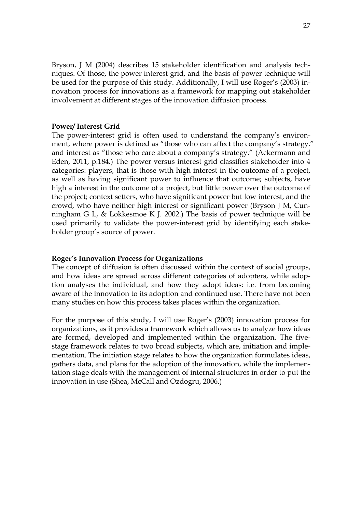Bryson, J M (2004) describes 15 stakeholder identification and analysis techniques. Of those, the power interest grid, and the basis of power technique will be used for the purpose of this study. Additionally, I will use Roger's (2003) innovation process for innovations as a framework for mapping out stakeholder involvement at different stages of the innovation diffusion process.

#### **Power/ Interest Grid**

The power-interest grid is often used to understand the company's environment, where power is defined as "those who can affect the company's strategy." and interest as "those who care about a company's strategy." (Ackermann and Eden, 2011, p.184.) The power versus interest grid classifies stakeholder into 4 categories: players, that is those with high interest in the outcome of a project, as well as having significant power to influence that outcome; subjects, have high a interest in the outcome of a project, but little power over the outcome of the project; context setters, who have significant power but low interest, and the crowd, who have neither high interest or significant power (Bryson J M, Cunningham G L, & Lokkesmoe K J. 2002.) The basis of power technique will be used primarily to validate the power-interest grid by identifying each stakeholder group's source of power.

#### **Roger's Innovation Process for Organizations**

The concept of diffusion is often discussed within the context of social groups, and how ideas are spread across different categories of adopters, while adoption analyses the individual, and how they adopt ideas: i.e. from becoming aware of the innovation to its adoption and continued use. There have not been many studies on how this process takes places within the organization.

For the purpose of this study, I will use Roger's (2003) innovation process for organizations, as it provides a framework which allows us to analyze how ideas are formed, developed and implemented within the organization. The fivestage framework relates to two broad subjects, which are, initiation and implementation. The initiation stage relates to how the organization formulates ideas, gathers data, and plans for the adoption of the innovation, while the implementation stage deals with the management of internal structures in order to put the innovation in use (Shea, McCall and Ozdogru, 2006.)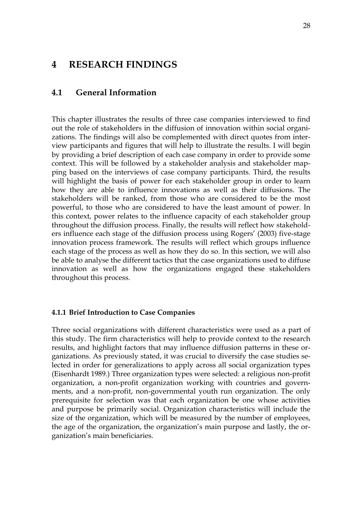# **4 RESEARCH FINDINGS**

## **4.1 General Information**

This chapter illustrates the results of three case companies interviewed to find out the role of stakeholders in the diffusion of innovation within social organizations. The findings will also be complemented with direct quotes from interview participants and figures that will help to illustrate the results. I will begin by providing a brief description of each case company in order to provide some context. This will be followed by a stakeholder analysis and stakeholder mapping based on the interviews of case company participants. Third, the results will highlight the basis of power for each stakeholder group in order to learn how they are able to influence innovations as well as their diffusions. The stakeholders will be ranked, from those who are considered to be the most powerful, to those who are considered to have the least amount of power. In this context, power relates to the influence capacity of each stakeholder group throughout the diffusion process. Finally, the results will reflect how stakeholders influence each stage of the diffusion process using Rogers' (2003) five-stage innovation process framework. The results will reflect which groups influence each stage of the process as well as how they do so. In this section, we will also be able to analyse the different tactics that the case organizations used to diffuse innovation as well as how the organizations engaged these stakeholders throughout this process.

#### **4.1.1 Brief Introduction to Case Companies**

Three social organizations with different characteristics were used as a part of this study. The firm characteristics will help to provide context to the research results, and highlight factors that may influence diffusion patterns in these organizations. As previously stated, it was crucial to diversify the case studies selected in order for generalizations to apply across all social organization types (Eisenhardt 1989.) Three organization types were selected: a religious non-profit organization, a non-profit organization working with countries and governments, and a non-profit, non-governmental youth run organization. The only prerequisite for selection was that each organization be one whose activities and purpose be primarily social. Organization characteristics will include the size of the organization, which will be measured by the number of employees, the age of the organization, the organization's main purpose and lastly, the organization's main beneficiaries.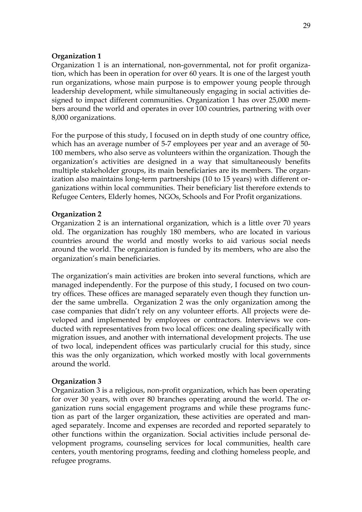#### **Organization 1**

Organization 1 is an international, non-governmental, not for profit organization, which has been in operation for over 60 years. It is one of the largest youth run organizations, whose main purpose is to empower young people through leadership development, while simultaneously engaging in social activities designed to impact different communities. Organization 1 has over 25,000 members around the world and operates in over 100 countries, partnering with over 8,000 organizations.

For the purpose of this study, I focused on in depth study of one country office, which has an average number of 5-7 employees per year and an average of 50- 100 members, who also serve as volunteers within the organization. Though the organization's activities are designed in a way that simultaneously benefits multiple stakeholder groups, its main beneficiaries are its members. The organization also maintains long-term partnerships (10 to 15 years) with different organizations within local communities. Their beneficiary list therefore extends to Refugee Centers, Elderly homes, NGOs, Schools and For Profit organizations.

#### **Organization 2**

Organization 2 is an international organization, which is a little over 70 years old. The organization has roughly 180 members, who are located in various countries around the world and mostly works to aid various social needs around the world. The organization is funded by its members, who are also the organization's main beneficiaries.

The organization's main activities are broken into several functions, which are managed independently. For the purpose of this study, I focused on two country offices. These offices are managed separately even though they function under the same umbrella. Organization 2 was the only organization among the case companies that didn't rely on any volunteer efforts. All projects were developed and implemented by employees or contractors. Interviews we conducted with representatives from two local offices: one dealing specifically with migration issues, and another with international development projects. The use of two local, independent offices was particularly crucial for this study, since this was the only organization, which worked mostly with local governments around the world.

#### **Organization 3**

Organization 3 is a religious, non-profit organization, which has been operating for over 30 years, with over 80 branches operating around the world. The organization runs social engagement programs and while these programs function as part of the larger organization, these activities are operated and managed separately. Income and expenses are recorded and reported separately to other functions within the organization. Social activities include personal development programs, counseling services for local communities, health care centers, youth mentoring programs, feeding and clothing homeless people, and refugee programs.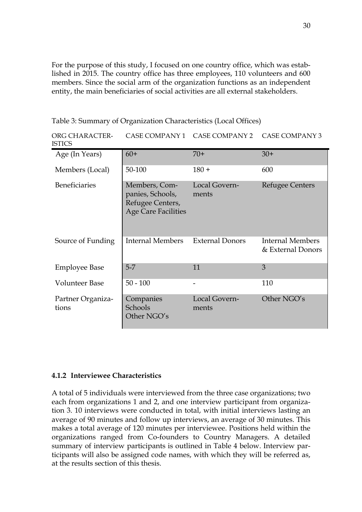For the purpose of this study, I focused on one country office, which was established in 2015. The country office has three employees, 110 volunteers and 600 members. Since the social arm of the organization functions as an independent entity, the main beneficiaries of social activities are all external stakeholders.

Table 3: Summary of Organization Characteristics (Local Offices)

| ORG CHARACTER-<br><b>ISTICS</b> |                                                                                     | CASE COMPANY 1 CASE COMPANY 2 | <b>CASE COMPANY 3</b>                 |
|---------------------------------|-------------------------------------------------------------------------------------|-------------------------------|---------------------------------------|
| Age (In Years)                  | $60+$                                                                               | $70+$                         | $30+$                                 |
| Members (Local)                 | 50-100                                                                              | $180 +$                       | 600                                   |
| <b>Beneficiaries</b>            | Members, Com-<br>panies, Schools,<br>Refugee Centers,<br><b>Age Care Facilities</b> | Local Govern-<br>ments        | Refugee Centers                       |
| Source of Funding               | Internal Members                                                                    | <b>External Donors</b>        | Internal Members<br>& External Donors |
| <b>Employee Base</b>            | $5-7$                                                                               | 11                            | 3                                     |
| <b>Volunteer Base</b>           | $50 - 100$                                                                          | $\overline{\phantom{0}}$      | 110                                   |
| Partner Organiza-<br>tions      | Companies<br>Schools<br>Other NGO's                                                 | Local Govern-<br>ments        | Other NGO's                           |

### **4.1.2 Interviewee Characteristics**

A total of 5 individuals were interviewed from the three case organizations; two each from organizations 1 and 2, and one interview participant from organization 3. 10 interviews were conducted in total, with initial interviews lasting an average of 90 minutes and follow up interviews, an average of 30 minutes. This makes a total average of 120 minutes per interviewee. Positions held within the organizations ranged from Co-founders to Country Managers. A detailed summary of interview participants is outlined in Table 4 below. Interview participants will also be assigned code names, with which they will be referred as, at the results section of this thesis.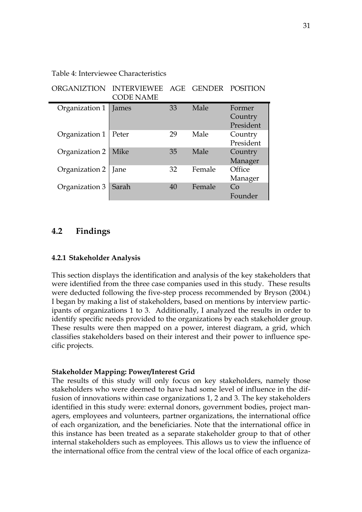Table 4: Interviewee Characteristics

| <b>ORGANIZTION</b> | <b>INTERVIEWEE</b><br><b>CODE NAME</b> | AGE | <b>GENDER</b> | POSITION                       |
|--------------------|----------------------------------------|-----|---------------|--------------------------------|
| Organization 1     | James                                  | 33  | Male          | Former<br>Country<br>President |
| Organization 1     | Peter                                  | 29  | Male          | Country<br>President           |
| Organization 2     | Mike                                   | 35  | Male          | Country<br>Manager             |
| Organization 2     | Jane                                   | 32  | Female        | Office<br>Manager              |
| Organization 3     | Sarah                                  | 40  | Female        | Co<br>Founder                  |

## **4.2 Findings**

#### **4.2.1 Stakeholder Analysis**

This section displays the identification and analysis of the key stakeholders that were identified from the three case companies used in this study. These results were deducted following the five-step process recommended by Bryson (2004.) I began by making a list of stakeholders, based on mentions by interview participants of organizations 1 to 3. Additionally, I analyzed the results in order to identify specific needs provided to the organizations by each stakeholder group. These results were then mapped on a power, interest diagram, a grid, which classifies stakeholders based on their interest and their power to influence specific projects.

#### **Stakeholder Mapping: Power/Interest Grid**

The results of this study will only focus on key stakeholders, namely those stakeholders who were deemed to have had some level of influence in the diffusion of innovations within case organizations 1, 2 and 3. The key stakeholders identified in this study were: external donors, government bodies, project managers, employees and volunteers, partner organizations, the international office of each organization, and the beneficiaries. Note that the international office in this instance has been treated as a separate stakeholder group to that of other internal stakeholders such as employees. This allows us to view the influence of the international office from the central view of the local office of each organiza-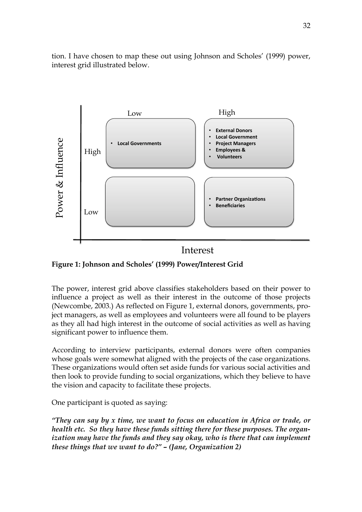tion. I have chosen to map these out using Johnson and Scholes' (1999) power, interest grid illustrated below.



# Interest

**Figure 1: Johnson and Scholes' (1999) Power/Interest Grid**

The power, interest grid above classifies stakeholders based on their power to influence a project as well as their interest in the outcome of those projects (Newcombe, 2003.) As reflected on Figure 1, external donors, governments, project managers, as well as employees and volunteers were all found to be players as they all had high interest in the outcome of social activities as well as having significant power to influence them.

According to interview participants, external donors were often companies whose goals were somewhat aligned with the projects of the case organizations. These organizations would often set aside funds for various social activities and then look to provide funding to social organizations, which they believe to have the vision and capacity to facilitate these projects.

One participant is quoted as saying:

*"They can say by x time, we want to focus on education in Africa or trade, or health etc. So they have these funds sitting there for these purposes. The organization may have the funds and they say okay, who is there that can implement these things that we want to do?" – (Jane, Organization 2)*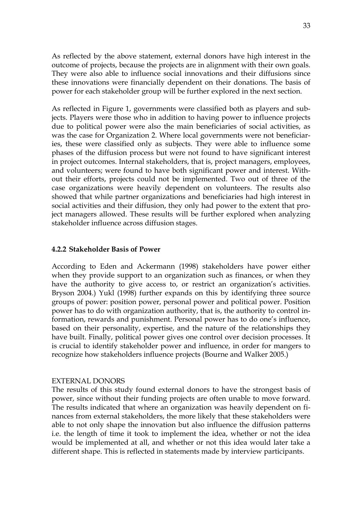As reflected by the above statement, external donors have high interest in the outcome of projects, because the projects are in alignment with their own goals. They were also able to influence social innovations and their diffusions since these innovations were financially dependent on their donations. The basis of power for each stakeholder group will be further explored in the next section.

As reflected in Figure 1, governments were classified both as players and subjects. Players were those who in addition to having power to influence projects due to political power were also the main beneficiaries of social activities, as was the case for Organization 2. Where local governments were not beneficiaries, these were classified only as subjects. They were able to influence some phases of the diffusion process but were not found to have significant interest in project outcomes. Internal stakeholders, that is, project managers, employees, and volunteers; were found to have both significant power and interest. Without their efforts, projects could not be implemented. Two out of three of the case organizations were heavily dependent on volunteers. The results also showed that while partner organizations and beneficiaries had high interest in social activities and their diffusion, they only had power to the extent that project managers allowed. These results will be further explored when analyzing stakeholder influence across diffusion stages.

#### **4.2.2 Stakeholder Basis of Power**

According to Eden and Ackermann (1998) stakeholders have power either when they provide support to an organization such as finances, or when they have the authority to give access to, or restrict an organization's activities. Bryson 2004.) Yukl (1998) further expands on this by identifying three source groups of power: position power, personal power and political power. Position power has to do with organization authority, that is, the authority to control information, rewards and punishment. Personal power has to do one's influence, based on their personality, expertise, and the nature of the relationships they have built. Finally, political power gives one control over decision processes. It is crucial to identify stakeholder power and influence, in order for mangers to recognize how stakeholders influence projects (Bourne and Walker 2005.)

#### EXTERNAL DONORS

The results of this study found external donors to have the strongest basis of power, since without their funding projects are often unable to move forward. The results indicated that where an organization was heavily dependent on finances from external stakeholders, the more likely that these stakeholders were able to not only shape the innovation but also influence the diffusion patterns i.e. the length of time it took to implement the idea, whether or not the idea would be implemented at all, and whether or not this idea would later take a different shape. This is reflected in statements made by interview participants.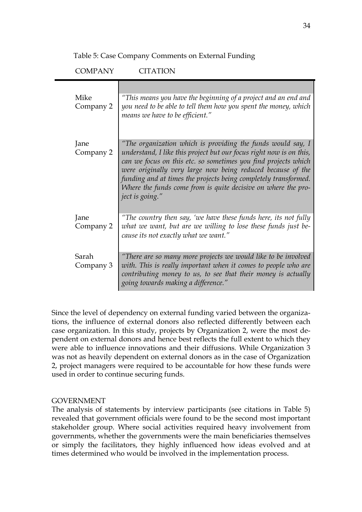Table 5: Case Company Comments on External Funding

| <b>COMPANY</b>     | <b>CITATION</b>                                                                                                                                                                                                                                                                                                                                                                                                            |
|--------------------|----------------------------------------------------------------------------------------------------------------------------------------------------------------------------------------------------------------------------------------------------------------------------------------------------------------------------------------------------------------------------------------------------------------------------|
| Mike<br>Company 2  | "This means you have the beginning of a project and an end and<br>you need to be able to tell them how you spent the money, which<br>means we have to be efficient."                                                                                                                                                                                                                                                       |
| Jane<br>Company 2  | "The organization which is providing the funds would say, I<br>understand, I like this project but our focus right now is on this,<br>can we focus on this etc. so sometimes you find projects which<br>were originally very large now being reduced because of the<br>funding and at times the projects being completely transformed.<br>Where the funds come from is quite decisive on where the pro-<br>ject is going." |
| Jane<br>Company 2  | "The country then say, 'we have these funds here, its not fully<br>what we want, but are we willing to lose these funds just be-<br>cause its not exactly what we want."                                                                                                                                                                                                                                                   |
| Sarah<br>Company 3 | "There are so many more projects we would like to be involved<br>with. This is really important when it comes to people who are<br>contributing money to us, to see that their money is actually<br>going towards making a difference."                                                                                                                                                                                    |
|                    |                                                                                                                                                                                                                                                                                                                                                                                                                            |

Since the level of dependency on external funding varied between the organizations, the influence of external donors also reflected differently between each case organization. In this study, projects by Organization 2, were the most dependent on external donors and hence best reflects the full extent to which they were able to influence innovations and their diffusions. While Organization 3 was not as heavily dependent on external donors as in the case of Organization 2, project managers were required to be accountable for how these funds were used in order to continue securing funds.

### GOVERNMENT

The analysis of statements by interview participants (see citations in Table 5) revealed that government officials were found to be the second most important stakeholder group. Where social activities required heavy involvement from governments, whether the governments were the main beneficiaries themselves or simply the facilitators, they highly influenced how ideas evolved and at times determined who would be involved in the implementation process.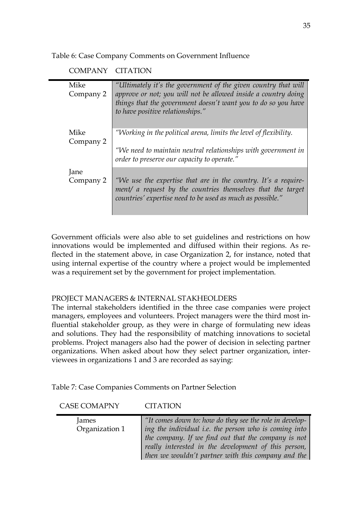Table 6: Case Company Comments on Government Influence

COMPANY CITATION

| Mike      | "Ultimately it's the government of the given country that will                                               |
|-----------|--------------------------------------------------------------------------------------------------------------|
| Company 2 | approve or not; you will not be allowed inside a country doing                                               |
|           | things that the government doesn't want you to do so you have                                                |
|           | to have positive relationships."                                                                             |
|           |                                                                                                              |
| Mike      | "Working in the political arena, limits the level of flexibility.                                            |
| Company 2 |                                                                                                              |
|           | "We need to maintain neutral relationships with government in<br>order to preserve our capacity to operate." |
| Jane      |                                                                                                              |
| Company 2 | "We use the expertise that are in the country. It's a require-                                               |
|           | ment/ a request by the countries themselves that the target                                                  |
|           | countries' expertise need to be used as much as possible."                                                   |
|           |                                                                                                              |

Government officials were also able to set guidelines and restrictions on how innovations would be implemented and diffused within their regions. As reflected in the statement above, in case Organization 2, for instance, noted that using internal expertise of the country where a project would be implemented was a requirement set by the government for project implementation.

### PROJECT MANAGERS & INTERNAL STAKHEOLDERS

The internal stakeholders identified in the three case companies were project managers, employees and volunteers. Project managers were the third most influential stakeholder group, as they were in charge of formulating new ideas and solutions. They had the responsibility of matching innovations to societal problems. Project managers also had the power of decision in selecting partner organizations. When asked about how they select partner organization, interviewees in organizations 1 and 3 are recorded as saying:

Table 7: Case Companies Comments on Partner Selection

CASE COMAPNY CITATION

| James          | "It comes down to: how do they see the role in develop- |
|----------------|---------------------------------------------------------|
| Organization 1 | ing the individual i.e. the person who is coming into   |
|                | the company. If we find out that the company is not     |
|                | really interested in the development of this person,    |
|                | then we wouldn't partner with this company and the      |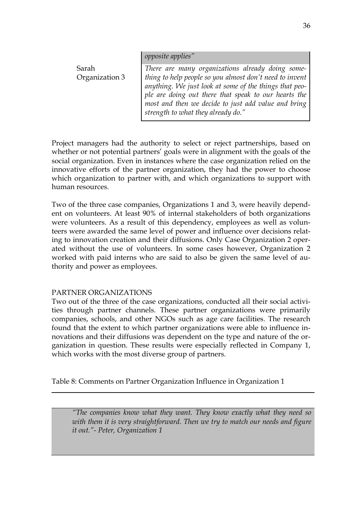|  | opposite applies" |  |  |
|--|-------------------|--|--|
|  |                   |  |  |

Sarah Organization 3

*There are many organizations already doing something to help people so you almost don't need to invent anything. We just look at some of the things that people are doing out there that speak to our hearts the most and then we decide to just add value and bring strength to what they already do."*

Project managers had the authority to select or reject partnerships, based on whether or not potential partners' goals were in alignment with the goals of the social organization. Even in instances where the case organization relied on the innovative efforts of the partner organization, they had the power to choose which organization to partner with, and which organizations to support with human resources.

Two of the three case companies, Organizations 1 and 3, were heavily dependent on volunteers. At least 90% of internal stakeholders of both organizations were volunteers. As a result of this dependency, employees as well as volunteers were awarded the same level of power and influence over decisions relating to innovation creation and their diffusions. Only Case Organization 2 operated without the use of volunteers. In some cases however, Organization 2 worked with paid interns who are said to also be given the same level of authority and power as employees.

### PARTNER ORGANIZATIONS

Two out of the three of the case organizations, conducted all their social activities through partner channels. These partner organizations were primarily companies, schools, and other NGOs such as age care facilities. The research found that the extent to which partner organizations were able to influence innovations and their diffusions was dependent on the type and nature of the organization in question. These results were especially reflected in Company 1, which works with the most diverse group of partners.

Table 8: Comments on Partner Organization Influence in Organization 1

*"The companies know what they want. They know exactly what they need so*  with them it is very straightforward. Then we try to match our needs and figure *it out."- Peter, Organization 1*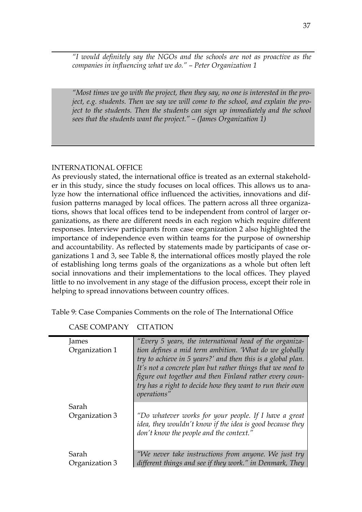*"I would definitely say the NGOs and the schools are not as proactive as the companies in influencing what we do." – Peter Organization 1*

*"Most times we go with the project, then they say, no one is interested in the project, e.g. students. Then we say we will come to the school, and explain the project to the students. Then the students can sign up immediately and the school sees that the students want the project." – (James Organization 1)*

### INTERNATIONAL OFFICE

As previously stated, the international office is treated as an external stakeholder in this study, since the study focuses on local offices. This allows us to analyze how the international office influenced the activities, innovations and diffusion patterns managed by local offices. The pattern across all three organizations, shows that local offices tend to be independent from control of larger organizations, as there are different needs in each region which require different responses. Interview participants from case organization 2 also highlighted the importance of independence even within teams for the purpose of ownership and accountability. As reflected by statements made by participants of case organizations 1 and 3, see Table 8, the international offices mostly played the role of establishing long terms goals of the organizations as a whole but often left social innovations and their implementations to the local offices. They played little to no involvement in any stage of the diffusion process, except their role in helping to spread innovations between country offices.

Table 9: Case Companies Comments on the role of The International Office

| James                   | "Every 5 years, the international head of the organiza-                                                                                                                                                                                                                                                    |
|-------------------------|------------------------------------------------------------------------------------------------------------------------------------------------------------------------------------------------------------------------------------------------------------------------------------------------------------|
| Organization 1          | tion defines a mid term ambition. 'What do we globally<br>try to achieve in 5 years?' and then this is a global plan.<br>It's not a concrete plan but rather things that we need to<br>figure out together and then Finland rather every coun-<br>try has a right to decide how they want to run their own |
|                         | operations"                                                                                                                                                                                                                                                                                                |
| Sarah<br>Organization 3 | "Do whatever works for your people. If I have a great<br>idea, they wouldn't know if the idea is good because they<br>don't know the people and the context."                                                                                                                                              |
| Sarah                   | "We never take instructions from anyone. We just try                                                                                                                                                                                                                                                       |
| Organization 3          | different things and see if they work." in Denmark, They                                                                                                                                                                                                                                                   |

CASE COMPANY CITATION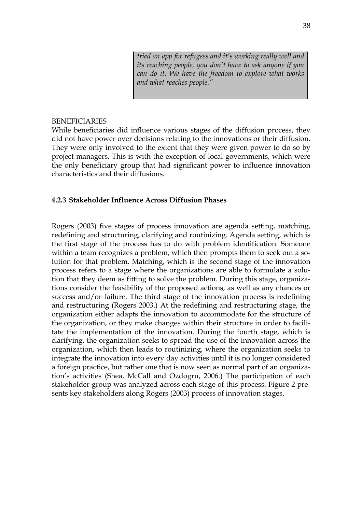*tried an app for refugees and it's working really well and its reaching people, you don't have to ask anyone if you can do it. We have the freedom to explore what works and what reaches people."*

#### BENEFICIARIES

While beneficiaries did influence various stages of the diffusion process, they did not have power over decisions relating to the innovations or their diffusion. They were only involved to the extent that they were given power to do so by project managers. This is with the exception of local governments, which were the only beneficiary group that had significant power to influence innovation characteristics and their diffusions.

#### **4.2.3 Stakeholder Influence Across Diffusion Phases**

Rogers (2003) five stages of process innovation are agenda setting, matching, redefining and structuring, clarifying and routinizing. Agenda setting, which is the first stage of the process has to do with problem identification. Someone within a team recognizes a problem, which then prompts them to seek out a solution for that problem. Matching, which is the second stage of the innovation process refers to a stage where the organizations are able to formulate a solution that they deem as fitting to solve the problem. During this stage, organizations consider the feasibility of the proposed actions, as well as any chances or success and/or failure. The third stage of the innovation process is redefining and restructuring (Rogers 2003.) At the redefining and restructuring stage, the organization either adapts the innovation to accommodate for the structure of the organization, or they make changes within their structure in order to facilitate the implementation of the innovation. During the fourth stage, which is clarifying, the organization seeks to spread the use of the innovation across the organization, which then leads to routinizing, where the organization seeks to integrate the innovation into every day activities until it is no longer considered a foreign practice, but rather one that is now seen as normal part of an organization's activities (Shea, McCall and Ozdogru, 2006.) The participation of each stakeholder group was analyzed across each stage of this process. Figure 2 presents key stakeholders along Rogers (2003) process of innovation stages.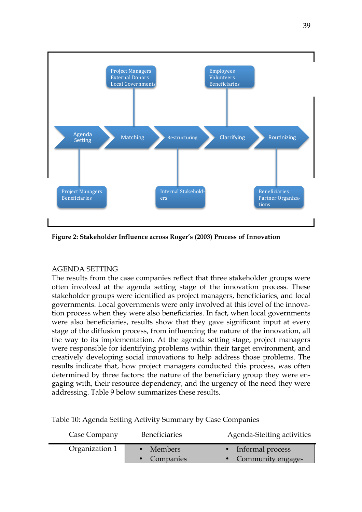

**Figure 2: Stakeholder Influence across Roger's (2003) Process of Innovation**

#### AGENDA SETTING

The results from the case companies reflect that three stakeholder groups were often involved at the agenda setting stage of the innovation process. These stakeholder groups were identified as project managers, beneficiaries, and local governments. Local governments were only involved at this level of the innovation process when they were also beneficiaries. In fact, when local governments were also beneficiaries, results show that they gave significant input at every stage of the diffusion process, from influencing the nature of the innovation, all the way to its implementation. At the agenda setting stage, project managers were responsible for identifying problems within their target environment, and creatively developing social innovations to help address those problems. The results indicate that, how project managers conducted this process, was often determined by three factors: the nature of the beneficiary group they were engaging with, their resource dependency, and the urgency of the need they were addressing. Table 9 below summarizes these results.

Table 10: Agenda Setting Activity Summary by Case Companies

| Case Company   | <b>Beneficiaries</b>     | Agenda-Stetting activities                |
|----------------|--------------------------|-------------------------------------------|
| Organization 1 | • Members<br>• Companies | • Informal process<br>• Community engage- |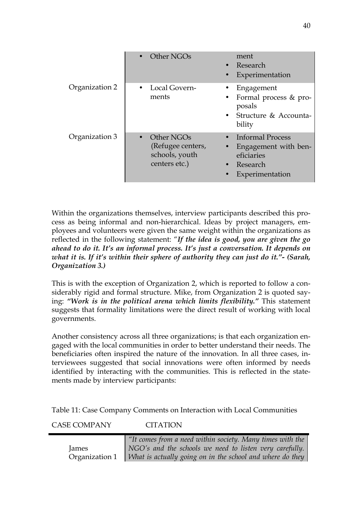|                | Other NGOs                                                         | ment<br>• Research<br>Experimentation                                                                  |
|----------------|--------------------------------------------------------------------|--------------------------------------------------------------------------------------------------------|
| Organization 2 | Local Govern-<br>ments                                             | Engagement<br>• Formal process & pro-<br>posals<br>• Structure & Accounta-<br>bility                   |
| Organization 3 | Other NGOs<br>(Refugee centers,<br>schools, youth<br>centers etc.) | • Informal Process<br>• Engagement with ben-<br>eficiaries<br>Research<br>$\bullet$<br>Experimentation |

Within the organizations themselves, interview participants described this process as being informal and non-hierarchical. Ideas by project managers, employees and volunteers were given the same weight within the organizations as reflected in the following statement: "*If the idea is good, you are given the go ahead to do it. It's an informal process. It's just a conversation. It depends on what it is. If it's within their sphere of authority they can just do it."- (Sarah, Organization 3.)*

This is with the exception of Organization 2, which is reported to follow a considerably rigid and formal structure. Mike, from Organization 2 is quoted saying: *"Work is in the political arena which limits flexibility."* This statement suggests that formality limitations were the direct result of working with local governments.

Another consistency across all three organizations; is that each organization engaged with the local communities in order to better understand their needs. The beneficiaries often inspired the nature of the innovation. In all three cases, interviewees suggested that social innovations were often informed by needs identified by interacting with the communities. This is reflected in the statements made by interview participants:

Table 11: Case Company Comments on Interaction with Local Communities

CASE COMPANY CITATION

|       | $\mid$ "It comes from a need within society. Many times with the           |
|-------|----------------------------------------------------------------------------|
| James | NGO's and the schools we need to listen very carefully.                    |
|       | Organization 1   What is actually going on in the school and where do they |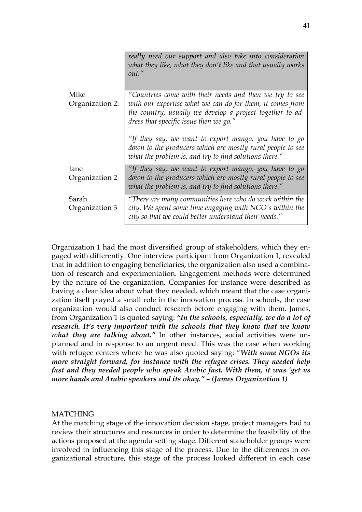|                 | really need our support and also take into consideration<br>what they like, what they don't like and that usually works<br>out."                                              |
|-----------------|-------------------------------------------------------------------------------------------------------------------------------------------------------------------------------|
| Mike            | "Countries come with their needs and then we try to see                                                                                                                       |
| Organization 2: | with our expertise what we can do for them, it comes from                                                                                                                     |
|                 | the country, usually we develop a project together to ad-<br>dress that specific issue then we go."                                                                           |
|                 | "If they say, we want to export mango, you have to go<br>down to the producers which are mostly rural people to see<br>what the problem is, and try to find solutions there." |
| Jane            | "If they say, we want to export mango, you have to go                                                                                                                         |
| Organization 2  | down to the producers which are mostly rural people to see<br>what the problem is, and try to find solutions there."                                                          |
| Sarah           | "There are many communities here who do work within the                                                                                                                       |
| Organization 3  | city. We spent some time engaging with NGO's within the<br>city so that we could better understand their needs."                                                              |

Organization 1 had the most diversified group of stakeholders, which they engaged with differently. One interview participant from Organization 1, revealed that in addition to engaging beneficiaries, the organization also used a combination of research and experimentation. Engagement methods were determined by the nature of the organization. Companies for instance were described as having a clear idea about what they needed, which meant that the case organization itself played a small role in the innovation process. In schools, the case organization would also conduct research before engaging with them. James, from Organization 1 is quoted saying: *"In the schools, especially, we do a lot of research. It's very important with the schools that they know that we know what they are talking about."* In other instances, social activities were unplanned and in response to an urgent need. This was the case when working with refugee centers where he was also quoted saying: "*With some NGOs its more straight forward, for instance with the refugee crises. They needed help fast and they needed people who speak Arabic fast. With them, it was 'get us more hands and Arabic speakers and its okay." – (James Organization 1)*

#### MATCHING

At the matching stage of the innovation decision stage, project managers had to review their structures and resources in order to determine the feasibility of the actions proposed at the agenda setting stage. Different stakeholder groups were involved in influencing this stage of the process. Due to the differences in organizational structure, this stage of the process looked different in each case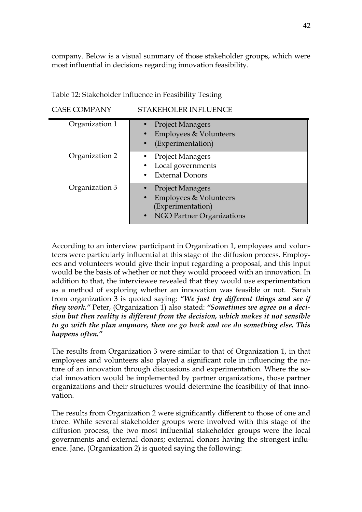company. Below is a visual summary of those stakeholder groups, which were most influential in decisions regarding innovation feasibility.

| Table 12: Stakeholder Influence in Feasibility Testing |  |  |
|--------------------------------------------------------|--|--|
|                                                        |  |  |

| CASE COMPANY |  |
|--------------|--|
|--------------|--|

STAKEHOLER INFLUENCE

| Organization 1 | • Project Managers<br>Employees & Volunteers<br>$\bullet$<br>(Experimentation)                                                       |
|----------------|--------------------------------------------------------------------------------------------------------------------------------------|
| Organization 2 | <b>Project Managers</b><br>Local governments<br><b>External Donors</b>                                                               |
| Organization 3 | <b>Project Managers</b><br>Employees & Volunteers<br>$\bullet$<br>(Experimentation)<br><b>NGO Partner Organizations</b><br>$\bullet$ |

According to an interview participant in Organization 1, employees and volunteers were particularly influential at this stage of the diffusion process. Employees and volunteers would give their input regarding a proposal, and this input would be the basis of whether or not they would proceed with an innovation. In addition to that, the interviewee revealed that they would use experimentation as a method of exploring whether an innovation was feasible or not. Sarah from organization 3 is quoted saying: *"We just try different things and see if they work."* Peter, (Organization 1) also stated: *"Sometimes we agree on a decision but then reality is different from the decision, which makes it not sensible to go with the plan anymore, then we go back and we do something else. This happens often."*

The results from Organization 3 were similar to that of Organization 1, in that employees and volunteers also played a significant role in influencing the nature of an innovation through discussions and experimentation. Where the social innovation would be implemented by partner organizations, those partner organizations and their structures would determine the feasibility of that innovation.

The results from Organization 2 were significantly different to those of one and three. While several stakeholder groups were involved with this stage of the diffusion process, the two most influential stakeholder groups were the local governments and external donors; external donors having the strongest influence. Jane, (Organization 2) is quoted saying the following: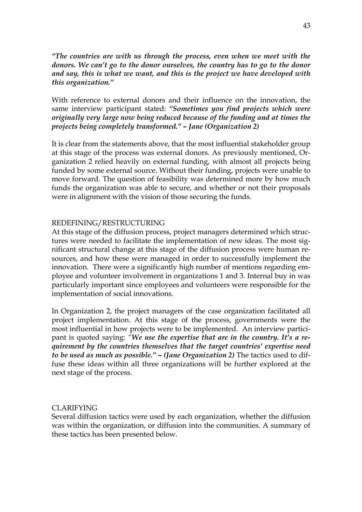*"The countries are with us through the process, even when we meet with the donors. We can't go to the donor ourselves, the country has to go to the donor and say, this is what we want, and this is the project we have developed with this organization."*

With reference to external donors and their influence on the innovation, the same interview participant stated: *"Sometimes you find projects which were originally very large now being reduced because of the funding and at times the projects being completely transformed." – Jane (Organization 2)*

It is clear from the statements above, that the most influential stakeholder group at this stage of the process was external donors. As previously mentioned, Organization 2 relied heavily on external funding, with almost all projects being funded by some external source. Without their funding, projects were unable to move forward. The question of feasibility was determined more by how much funds the organization was able to secure, and whether or not their proposals were in alignment with the vision of those securing the funds.

#### REDEFINING/RESTRUCTURING

At this stage of the diffusion process, project managers determined which structures were needed to facilitate the implementation of new ideas. The most significant structural change at this stage of the diffusion process were human resources, and how these were managed in order to successfully implement the innovation. There were a significantly high number of mentions regarding employee and volunteer involvement in organizations 1 and 3. Internal buy in was particularly important since employees and volunteers were responsible for the implementation of social innovations.

In Organization 2, the project managers of the case organization facilitated all project implementation. At this stage of the process, governments were the most influential in how projects were to be implemented. An interview participant is quoted saying: *"We use the expertise that are in the country. It's a requirement by the countries themselves that the target countries' expertise need to be used as much as possible." – (Jane Organization 2)* The tactics used to diffuse these ideas within all three organizations will be further explored at the next stage of the process.

#### CLARIFYING

Several diffusion tactics were used by each organization, whether the diffusion was within the organization, or diffusion into the communities. A summary of these tactics has been presented below.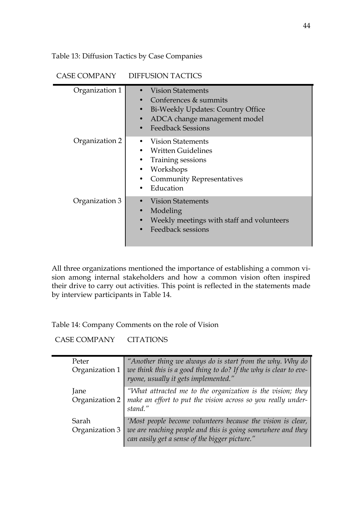Table 13: Diffusion Tactics by Case Companies

## CASE COMPANY DIFFUSION TACTICS

| Organization 1 | <b>Vision Statements</b><br>• Conferences & summits<br>Bi-Weekly Updates: Country Office<br>$\bullet$<br>ADCA change management model<br>$\bullet$<br><b>Feedback Sessions</b> |
|----------------|--------------------------------------------------------------------------------------------------------------------------------------------------------------------------------|
| Organization 2 | Vision Statements<br><b>Written Guidelines</b><br>Training sessions<br>Workshops<br><b>Community Representatives</b><br>$\bullet$<br>Education                                 |
| Organization 3 | <b>Vision Statements</b><br>Modeling<br>Weekly meetings with staff and volunteers<br><b>Feedback sessions</b>                                                                  |

All three organizations mentioned the importance of establishing a common vision among internal stakeholders and how a common vision often inspired their drive to carry out activities. This point is reflected in the statements made by interview participants in Table 14.

Table 14: Company Comments on the role of Vision

CASE COMPANY CITATIONS

| Peter<br>Organization 1 | "Another thing we always do is start from the why. Why do<br>we think this is a good thing to do? If the why is clear to eve-<br>ryone, usually it gets implemented."        |
|-------------------------|------------------------------------------------------------------------------------------------------------------------------------------------------------------------------|
| Jane<br>Organization 2  | "What attracted me to the organization is the vision; they<br>make an effort to put the vision across so you really under-<br>stand."                                        |
| Sarah<br>Organization 3 | 'Most people become volunteers because the vision is clear,<br>we are reaching people and this is going somewhere and they<br>can easily get a sense of the bigger picture." |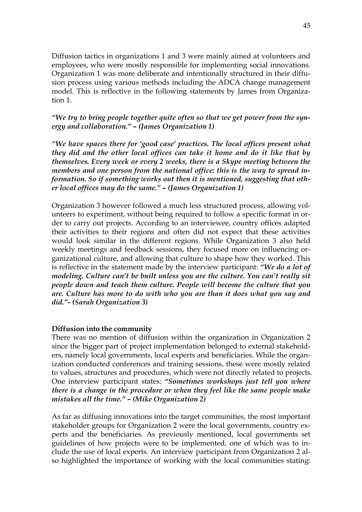Diffusion tactics in organizations 1 and 3 were mainly aimed at volunteers and employees, who were mostly responsible for implementing social innovations. Organization 1 was more deliberate and intentionally structured in their diffusion process using various methods including the ADCA change management model. This is reflective in the following statements by James from Organization 1.

*"We try to bring people together quite often so that we get power from the synergy and collaboration." – (James Organization 1)*

*"We have spaces there for 'good case' practices. The local offices present what they did and the other local offices can take it home and do it like that by themselves. Every week or every 2 weeks, there is a Skype meeting between the members and one person from the national office: this is the way to spread information. So if something works out then it is mentioned, suggesting that other local offices may do the same." – (James Organization 1)*

Organization 3 however followed a much less structured process, allowing volunteers to experiment, without being required to follow a specific format in order to carry out projects. According to an interviewee, country offices adapted their activities to their regions and often did not expect that these activities would look similar in the different regions. While Organization 3 also held weekly meetings and feedback sessions, they focused more on influencing organizational culture, and allowing that culture to shape how they worked. This is reflective in the statement made by the interview participant: *"We do a lot of modeling. Culture can't be built unless you are the culture. You can't really sit people down and teach them culture. People will become the culture that you are. Culture has more to do with who you are than it does what you say and did."- (Sarah Organization 3)*

#### **Diffusion into the community**

There was no mention of diffusion within the organization in Organization 2 since the bigger part of project implementation belonged to external stakeholders, namely local governments, local experts and beneficiaries. While the organization conducted conferences and training sessions, these were mostly related to values, structures and procedures, which were not directly related to projects. One interview participant states: *"Sometimes workshops just tell you where there is a change in the procedure or when they feel like the same people make mistakes all the time." – (Mike Organization 2)*

As far as diffusing innovations into the target communities, the most important stakeholder groups for Organization 2 were the local governments, country experts and the beneficiaries. As previously mentioned, local governments set guidelines of how projects were to be implemented, one of which was to include the use of local experts. An interview participant from Organization 2 also highlighted the importance of working with the local communities stating: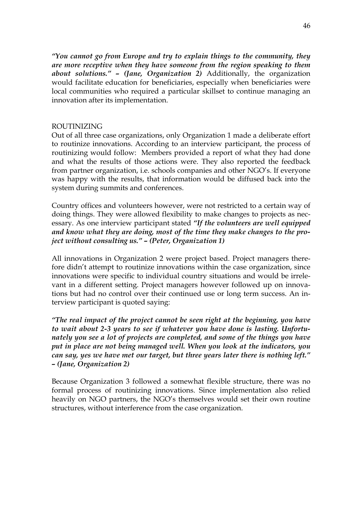*"You cannot go from Europe and try to explain things to the community, they are more receptive when they have someone from the region speaking to them about solutions." – (Jane, Organization 2)* Additionally, the organization would facilitate education for beneficiaries, especially when beneficiaries were local communities who required a particular skillset to continue managing an innovation after its implementation.

#### ROUTINIZING

Out of all three case organizations, only Organization 1 made a deliberate effort to routinize innovations. According to an interview participant, the process of routinizing would follow: Members provided a report of what they had done and what the results of those actions were. They also reported the feedback from partner organization, i.e. schools companies and other NGO's. If everyone was happy with the results, that information would be diffused back into the system during summits and conferences.

Country offices and volunteers however, were not restricted to a certain way of doing things. They were allowed flexibility to make changes to projects as necessary. As one interview participant stated *"If the volunteers are well equipped and know what they are doing, most of the time they make changes to the project without consulting us." – (Peter, Organization 1)*

All innovations in Organization 2 were project based. Project managers therefore didn't attempt to routinize innovations within the case organization, since innovations were specific to individual country situations and would be irrelevant in a different setting. Project managers however followed up on innovations but had no control over their continued use or long term success. An interview participant is quoted saying:

*"The real impact of the project cannot be seen right at the beginning, you have to wait about 2-3 years to see if whatever you have done is lasting. Unfortunately you see a lot of projects are completed, and some of the things you have put in place are not being managed well. When you look at the indicators, you can say, yes we have met our target, but three years later there is nothing left." – (Jane, Organization 2)*

Because Organization 3 followed a somewhat flexible structure, there was no formal process of routinizing innovations. Since implementation also relied heavily on NGO partners, the NGO's themselves would set their own routine structures, without interference from the case organization.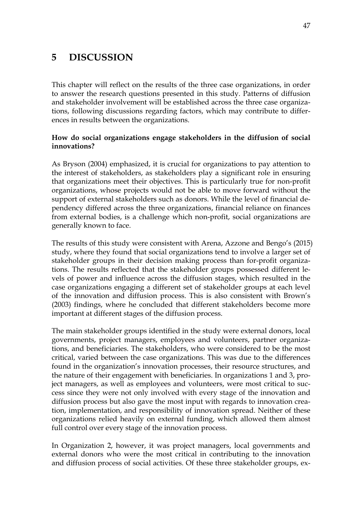# **5 DISCUSSION**

This chapter will reflect on the results of the three case organizations, in order to answer the research questions presented in this study. Patterns of diffusion and stakeholder involvement will be established across the three case organizations, following discussions regarding factors, which may contribute to differences in results between the organizations.

### **How do social organizations engage stakeholders in the diffusion of social innovations?**

As Bryson (2004) emphasized, it is crucial for organizations to pay attention to the interest of stakeholders, as stakeholders play a significant role in ensuring that organizations meet their objectives. This is particularly true for non-profit organizations, whose projects would not be able to move forward without the support of external stakeholders such as donors. While the level of financial dependency differed across the three organizations, financial reliance on finances from external bodies, is a challenge which non-profit, social organizations are generally known to face.

The results of this study were consistent with Arena, Azzone and Bengo's (2015) study, where they found that social organizations tend to involve a larger set of stakeholder groups in their decision making process than for-profit organizations. The results reflected that the stakeholder groups possessed different levels of power and influence across the diffusion stages, which resulted in the case organizations engaging a different set of stakeholder groups at each level of the innovation and diffusion process. This is also consistent with Brown's (2003) findings, where he concluded that different stakeholders become more important at different stages of the diffusion process.

The main stakeholder groups identified in the study were external donors, local governments, project managers, employees and volunteers, partner organizations, and beneficiaries. The stakeholders, who were considered to be the most critical, varied between the case organizations. This was due to the differences found in the organization's innovation processes, their resource structures, and the nature of their engagement with beneficiaries. In organizations 1 and 3, project managers, as well as employees and volunteers, were most critical to success since they were not only involved with every stage of the innovation and diffusion process but also gave the most input with regards to innovation creation, implementation, and responsibility of innovation spread. Neither of these organizations relied heavily on external funding, which allowed them almost full control over every stage of the innovation process.

In Organization 2, however, it was project managers, local governments and external donors who were the most critical in contributing to the innovation and diffusion process of social activities. Of these three stakeholder groups, ex-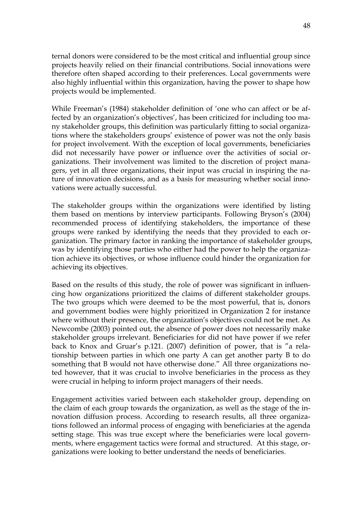ternal donors were considered to be the most critical and influential group since projects heavily relied on their financial contributions. Social innovations were therefore often shaped according to their preferences. Local governments were also highly influential within this organization, having the power to shape how projects would be implemented.

While Freeman's (1984) stakeholder definition of 'one who can affect or be affected by an organization's objectives', has been criticized for including too many stakeholder groups, this definition was particularly fitting to social organizations where the stakeholders groups' existence of power was not the only basis for project involvement. With the exception of local governments, beneficiaries did not necessarily have power or influence over the activities of social organizations. Their involvement was limited to the discretion of project managers, yet in all three organizations, their input was crucial in inspiring the nature of innovation decisions, and as a basis for measuring whether social innovations were actually successful.

The stakeholder groups within the organizations were identified by listing them based on mentions by interview participants. Following Bryson's (2004) recommended process of identifying stakeholders, the importance of these groups were ranked by identifying the needs that they provided to each organization. The primary factor in ranking the importance of stakeholder groups, was by identifying those parties who either had the power to help the organization achieve its objectives, or whose influence could hinder the organization for achieving its objectives.

Based on the results of this study, the role of power was significant in influencing how organizations prioritized the claims of different stakeholder groups. The two groups which were deemed to be the most powerful, that is, donors and government bodies were highly prioritized in Organization 2 for instance where without their presence, the organization's objectives could not be met. As Newcombe (2003) pointed out, the absence of power does not necessarily make stakeholder groups irrelevant. Beneficiaries for did not have power if we refer back to Knox and Gruar's p.121. (2007) definition of power, that is "a relationship between parties in which one party A can get another party B to do something that B would not have otherwise done." All three organizations noted however, that it was crucial to involve beneficiaries in the process as they were crucial in helping to inform project managers of their needs.

Engagement activities varied between each stakeholder group, depending on the claim of each group towards the organization, as well as the stage of the innovation diffusion process. According to research results, all three organizations followed an informal process of engaging with beneficiaries at the agenda setting stage. This was true except where the beneficiaries were local governments, where engagement tactics were formal and structured. At this stage, organizations were looking to better understand the needs of beneficiaries.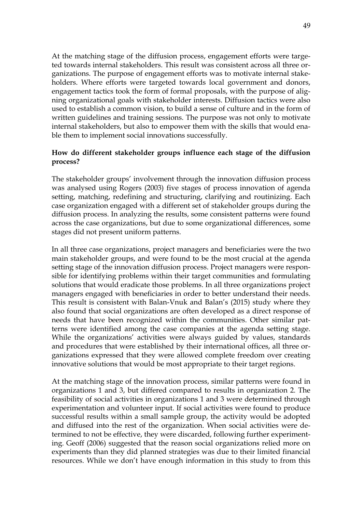At the matching stage of the diffusion process, engagement efforts were targeted towards internal stakeholders. This result was consistent across all three organizations. The purpose of engagement efforts was to motivate internal stakeholders. Where efforts were targeted towards local government and donors, engagement tactics took the form of formal proposals, with the purpose of aligning organizational goals with stakeholder interests. Diffusion tactics were also used to establish a common vision, to build a sense of culture and in the form of written guidelines and training sessions. The purpose was not only to motivate internal stakeholders, but also to empower them with the skills that would enable them to implement social innovations successfully.

### **How do different stakeholder groups influence each stage of the diffusion process?**

The stakeholder groups' involvement through the innovation diffusion process was analysed using Rogers (2003) five stages of process innovation of agenda setting, matching, redefining and structuring, clarifying and routinizing. Each case organization engaged with a different set of stakeholder groups during the diffusion process. In analyzing the results, some consistent patterns were found across the case organizations, but due to some organizational differences, some stages did not present uniform patterns.

In all three case organizations, project managers and beneficiaries were the two main stakeholder groups, and were found to be the most crucial at the agenda setting stage of the innovation diffusion process. Project managers were responsible for identifying problems within their target communities and formulating solutions that would eradicate those problems. In all three organizations project managers engaged with beneficiaries in order to better understand their needs. This result is consistent with Balan-Vnuk and Balan's (2015) study where they also found that social organizations are often developed as a direct response of needs that have been recognized within the communities. Other similar patterns were identified among the case companies at the agenda setting stage. While the organizations' activities were always guided by values, standards and procedures that were established by their international offices, all three organizations expressed that they were allowed complete freedom over creating innovative solutions that would be most appropriate to their target regions.

At the matching stage of the innovation process, similar patterns were found in organizations 1 and 3, but differed compared to results in organization 2. The feasibility of social activities in organizations 1 and 3 were determined through experimentation and volunteer input. If social activities were found to produce successful results within a small sample group, the activity would be adopted and diffused into the rest of the organization. When social activities were determined to not be effective, they were discarded, following further experimenting. Geoff (2006) suggested that the reason social organizations relied more on experiments than they did planned strategies was due to their limited financial resources. While we don't have enough information in this study to from this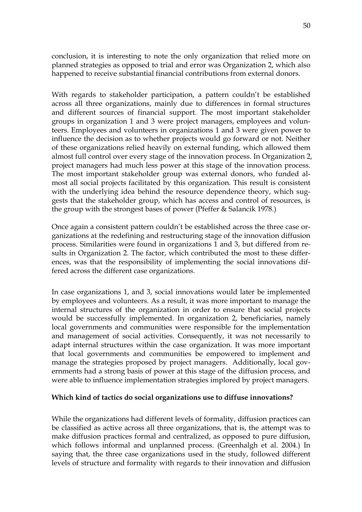conclusion, it is interesting to note the only organization that relied more on planned strategies as opposed to trial and error was Organization 2, which also happened to receive substantial financial contributions from external donors.

With regards to stakeholder participation, a pattern couldn't be established across all three organizations, mainly due to differences in formal structures and different sources of financial support. The most important stakeholder groups in organization 1 and 3 were project managers, employees and volunteers. Employees and volunteers in organizations 1 and 3 were given power to influence the decision as to whether projects would go forward or not. Neither of these organizations relied heavily on external funding, which allowed them almost full control over every stage of the innovation process. In Organization 2, project managers had much less power at this stage of the innovation process. The most important stakeholder group was external donors, who funded almost all social projects facilitated by this organization. This result is consistent with the underlying idea behind the resource dependence theory, which suggests that the stakeholder group, which has access and control of resources, is the group with the strongest bases of power (Pfeffer & Salancik 1978.)

Once again a consistent pattern couldn't be established across the three case organizations at the redefining and restructuring stage of the innovation diffusion process. Similarities were found in organizations 1 and 3, but differed from results in Organization 2. The factor, which contributed the most to these differences, was that the responsibility of implementing the social innovations differed across the different case organizations.

In case organizations 1, and 3, social innovations would later be implemented by employees and volunteers. As a result, it was more important to manage the internal structures of the organization in order to ensure that social projects would be successfully implemented. In organization 2, beneficiaries, namely local governments and communities were responsible for the implementation and management of social activities. Consequently, it was not necessarily to adapt internal structures within the case organization. It was more important that local governments and communities be empowered to implement and manage the strategies proposed by project managers. Additionally, local governments had a strong basis of power at this stage of the diffusion process, and were able to influence implementation strategies implored by project managers.

#### **Which kind of tactics do social organizations use to diffuse innovations?**

While the organizations had different levels of formality, diffusion practices can be classified as active across all three organizations, that is, the attempt was to make diffusion practices formal and centralized, as opposed to pure diffusion, which follows informal and unplanned process. (Greenhalgh et al. 2004.) In saying that, the three case organizations used in the study, followed different levels of structure and formality with regards to their innovation and diffusion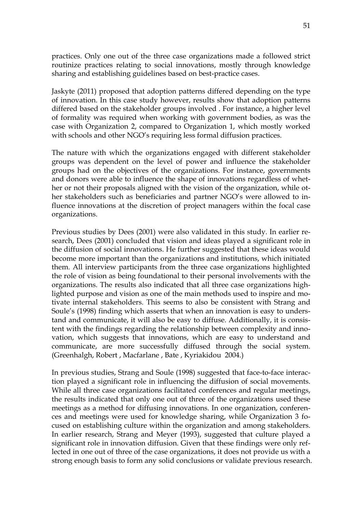practices. Only one out of the three case organizations made a followed strict routinize practices relating to social innovations, mostly through knowledge sharing and establishing guidelines based on best-practice cases.

Jaskyte (2011) proposed that adoption patterns differed depending on the type of innovation. In this case study however, results show that adoption patterns differed based on the stakeholder groups involved . For instance, a higher level of formality was required when working with government bodies, as was the case with Organization 2, compared to Organization 1, which mostly worked with schools and other NGO's requiring less formal diffusion practices.

The nature with which the organizations engaged with different stakeholder groups was dependent on the level of power and influence the stakeholder groups had on the objectives of the organizations. For instance, governments and donors were able to influence the shape of innovations regardless of whether or not their proposals aligned with the vision of the organization, while other stakeholders such as beneficiaries and partner NGO's were allowed to influence innovations at the discretion of project managers within the focal case organizations.

Previous studies by Dees (2001) were also validated in this study. In earlier research, Dees (2001) concluded that vision and ideas played a significant role in the diffusion of social innovations. He further suggested that these ideas would become more important than the organizations and institutions, which initiated them. All interview participants from the three case organizations highlighted the role of vision as being foundational to their personal involvements with the organizations. The results also indicated that all three case organizations highlighted purpose and vision as one of the main methods used to inspire and motivate internal stakeholders. This seems to also be consistent with Strang and Soule's (1998) finding which asserts that when an innovation is easy to understand and communicate, it will also be easy to diffuse. Additionally, it is consistent with the findings regarding the relationship between complexity and innovation, which suggests that innovations, which are easy to understand and communicate, are more successfully diffused through the social system. (Greenhalgh, Robert , Macfarlane , Bate , Kyriakidou 2004.)

In previous studies, Strang and Soule (1998) suggested that face-to-face interaction played a significant role in influencing the diffusion of social movements. While all three case organizations facilitated conferences and regular meetings, the results indicated that only one out of three of the organizations used these meetings as a method for diffusing innovations. In one organization, conferences and meetings were used for knowledge sharing, while Organization 3 focused on establishing culture within the organization and among stakeholders. In earlier research, Strang and Meyer (1993), suggested that culture played a significant role in innovation diffusion. Given that these findings were only reflected in one out of three of the case organizations, it does not provide us with a strong enough basis to form any solid conclusions or validate previous research.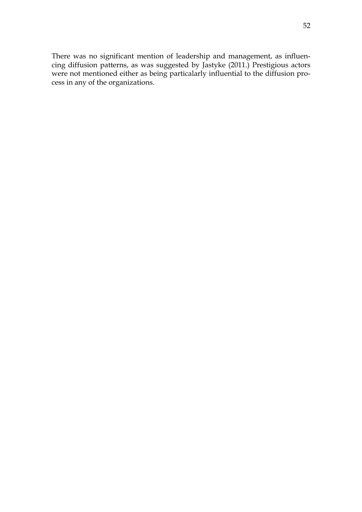There was no significant mention of leadership and management, as influencing diffusion patterns, as was suggested by Jastyke (2011.) Prestigious actors were not mentioned either as being particalarly influential to the diffusion process in any of the organizations.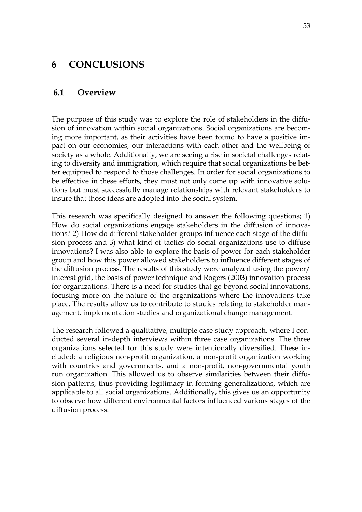# **6 CONCLUSIONS**

#### **6.1 Overview**

The purpose of this study was to explore the role of stakeholders in the diffusion of innovation within social organizations. Social organizations are becoming more important, as their activities have been found to have a positive impact on our economies, our interactions with each other and the wellbeing of society as a whole. Additionally, we are seeing a rise in societal challenges relating to diversity and immigration, which require that social organizations be better equipped to respond to those challenges. In order for social organizations to be effective in these efforts, they must not only come up with innovative solutions but must successfully manage relationships with relevant stakeholders to insure that those ideas are adopted into the social system.

This research was specifically designed to answer the following questions; 1) How do social organizations engage stakeholders in the diffusion of innovations? 2) How do different stakeholder groups influence each stage of the diffusion process and 3) what kind of tactics do social organizations use to diffuse innovations? I was also able to explore the basis of power for each stakeholder group and how this power allowed stakeholders to influence different stages of the diffusion process. The results of this study were analyzed using the power/ interest grid, the basis of power technique and Rogers (2003) innovation process for organizations. There is a need for studies that go beyond social innovations, focusing more on the nature of the organizations where the innovations take place. The results allow us to contribute to studies relating to stakeholder management, implementation studies and organizational change management.

The research followed a qualitative, multiple case study approach, where I conducted several in-depth interviews within three case organizations. The three organizations selected for this study were intentionally diversified. These included: a religious non-profit organization, a non-profit organization working with countries and governments, and a non-profit, non-governmental youth run organization. This allowed us to observe similarities between their diffusion patterns, thus providing legitimacy in forming generalizations, which are applicable to all social organizations. Additionally, this gives us an opportunity to observe how different environmental factors influenced various stages of the diffusion process.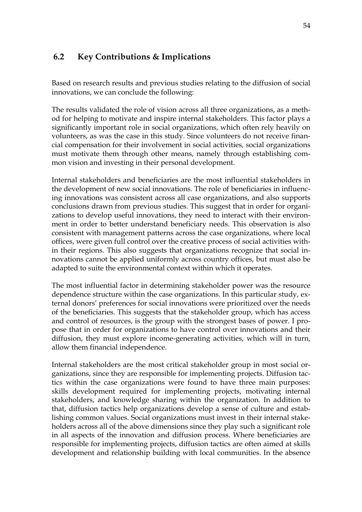# **6.2 Key Contributions & Implications**

Based on research results and previous studies relating to the diffusion of social innovations, we can conclude the following:

The results validated the role of vision across all three organizations, as a method for helping to motivate and inspire internal stakeholders. This factor plays a significantly important role in social organizations, which often rely heavily on volunteers, as was the case in this study. Since volunteers do not receive financial compensation for their involvement in social activities, social organizations must motivate them through other means, namely through establishing common vision and investing in their personal development.

Internal stakeholders and beneficiaries are the most influential stakeholders in the development of new social innovations. The role of beneficiaries in influencing innovations was consistent across all case organizations, and also supports conclusions drawn from previous studies. This suggest that in order for organizations to develop useful innovations, they need to interact with their environment in order to better understand beneficiary needs. This observation is also consistent with management patterns across the case organizations, where local offices, were given full control over the creative process of social activities within their regions. This also suggests that organizations recognize that social innovations cannot be applied uniformly across country offices, but must also be adapted to suite the environmental context within which it operates.

The most influential factor in determining stakeholder power was the resource dependence structure within the case organizations. In this particular study, external donors' preferences for social innovations were prioritized over the needs of the beneficiaries. This suggests that the stakeholder group, which has access and control of resources, is the group with the strongest bases of power. I propose that in order for organizations to have control over innovations and their diffusion, they must explore income-generating activities, which will in turn, allow them financial independence.

Internal stakeholders are the most critical stakeholder group in most social organizations, since they are responsible for implementing projects. Diffusion tactics within the case organizations were found to have three main purposes: skills development required for implementing projects, motivating internal stakeholders, and knowledge sharing within the organization. In addition to that, diffusion tactics help organizations develop a sense of culture and establishing common values. Social organizations must invest in their internal stakeholders across all of the above dimensions since they play such a significant role in all aspects of the innovation and diffusion process. Where beneficiaries are responsible for implementing projects, diffusion tactics are often aimed at skills development and relationship building with local communities. In the absence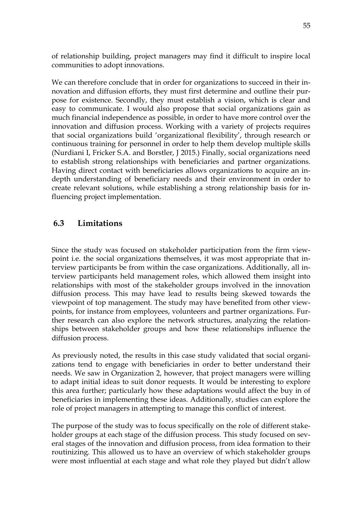of relationship building, project managers may find it difficult to inspire local communities to adopt innovations.

We can therefore conclude that in order for organizations to succeed in their innovation and diffusion efforts, they must first determine and outline their purpose for existence. Secondly, they must establish a vision, which is clear and easy to communicate. I would also propose that social organizations gain as much financial independence as possible, in order to have more control over the innovation and diffusion process. Working with a variety of projects requires that social organizations build 'organizational flexibility', through research or continuous training for personnel in order to help them develop multiple skills (Nurdiani I, Fricker S.A. and Borstler, J 2015.) Finally, social organizations need to establish strong relationships with beneficiaries and partner organizations. Having direct contact with beneficiaries allows organizations to acquire an indepth understanding of beneficiary needs and their environment in order to create relevant solutions, while establishing a strong relationship basis for influencing project implementation.

# **6.3 Limitations**

Since the study was focused on stakeholder participation from the firm viewpoint i.e. the social organizations themselves, it was most appropriate that interview participants be from within the case organizations. Additionally, all interview participants held management roles, which allowed them insight into relationships with most of the stakeholder groups involved in the innovation diffusion process. This may have lead to results being skewed towards the viewpoint of top management. The study may have benefited from other viewpoints, for instance from employees, volunteers and partner organizations. Further research can also explore the network structures, analyzing the relationships between stakeholder groups and how these relationships influence the diffusion process.

As previously noted, the results in this case study validated that social organizations tend to engage with beneficiaries in order to better understand their needs. We saw in Organization 2, however, that project managers were willing to adapt initial ideas to suit donor requests. It would be interesting to explore this area further; particularly how these adaptations would affect the buy in of beneficiaries in implementing these ideas. Additionally, studies can explore the role of project managers in attempting to manage this conflict of interest.

The purpose of the study was to focus specifically on the role of different stakeholder groups at each stage of the diffusion process. This study focused on several stages of the innovation and diffusion process, from idea formation to their routinizing. This allowed us to have an overview of which stakeholder groups were most influential at each stage and what role they played but didn't allow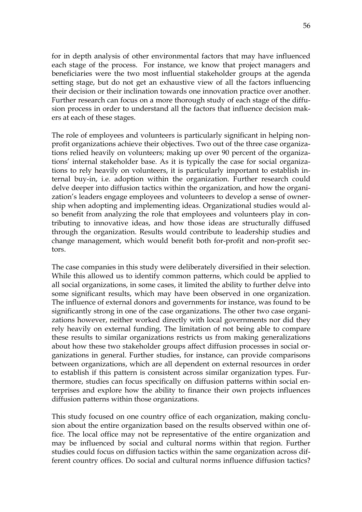for in depth analysis of other environmental factors that may have influenced each stage of the process. For instance, we know that project managers and beneficiaries were the two most influential stakeholder groups at the agenda setting stage, but do not get an exhaustive view of all the factors influencing their decision or their inclination towards one innovation practice over another. Further research can focus on a more thorough study of each stage of the diffusion process in order to understand all the factors that influence decision makers at each of these stages.

The role of employees and volunteers is particularly significant in helping nonprofit organizations achieve their objectives. Two out of the three case organizations relied heavily on volunteers; making up over 90 percent of the organizations' internal stakeholder base. As it is typically the case for social organizations to rely heavily on volunteers, it is particularly important to establish internal buy-in, i.e. adoption within the organization. Further research could delve deeper into diffusion tactics within the organization, and how the organization's leaders engage employees and volunteers to develop a sense of ownership when adopting and implementing ideas. Organizational studies would also benefit from analyzing the role that employees and volunteers play in contributing to innovative ideas, and how those ideas are structurally diffused through the organization. Results would contribute to leadership studies and change management, which would benefit both for-profit and non-profit sectors.

The case companies in this study were deliberately diversified in their selection. While this allowed us to identify common patterns, which could be applied to all social organizations, in some cases, it limited the ability to further delve into some significant results, which may have been observed in one organization. The influence of external donors and governments for instance, was found to be significantly strong in one of the case organizations. The other two case organizations however, neither worked directly with local governments nor did they rely heavily on external funding. The limitation of not being able to compare these results to similar organizations restricts us from making generalizations about how these two stakeholder groups affect diffusion processes in social organizations in general. Further studies, for instance, can provide comparisons between organizations, which are all dependent on external resources in order to establish if this pattern is consistent across similar organization types. Furthermore, studies can focus specifically on diffusion patterns within social enterprises and explore how the ability to finance their own projects influences diffusion patterns within those organizations.

This study focused on one country office of each organization, making conclusion about the entire organization based on the results observed within one office. The local office may not be representative of the entire organization and may be influenced by social and cultural norms within that region. Further studies could focus on diffusion tactics within the same organization across different country offices. Do social and cultural norms influence diffusion tactics?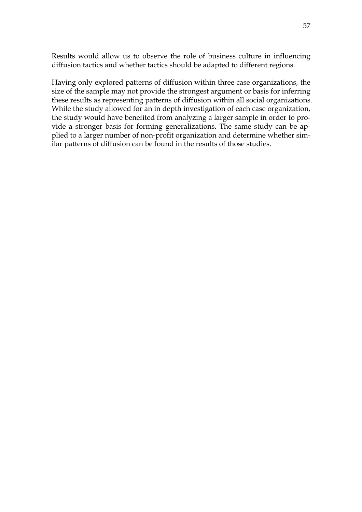Results would allow us to observe the role of business culture in influencing diffusion tactics and whether tactics should be adapted to different regions.

Having only explored patterns of diffusion within three case organizations, the size of the sample may not provide the strongest argument or basis for inferring these results as representing patterns of diffusion within all social organizations. While the study allowed for an in depth investigation of each case organization, the study would have benefited from analyzing a larger sample in order to provide a stronger basis for forming generalizations. The same study can be applied to a larger number of non-profit organization and determine whether similar patterns of diffusion can be found in the results of those studies.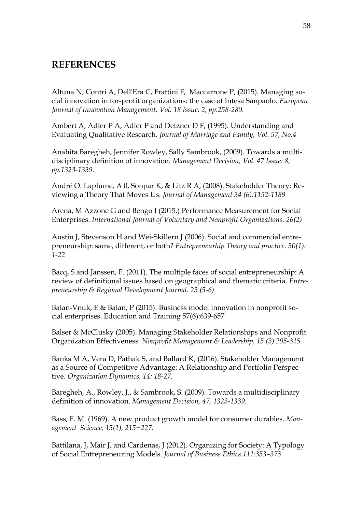# **REFERENCES**

Altuna N, Contri A, Dell'Era C, Frattini F, Maccarrone P, (2015). Managing social innovation in for-profit organizations: the case of Intesa Sanpaolo. *European Journal of Innovation Management, Vol. 18 Issue: 2, pp.258-280.* 

Ambert A, Adler P A, Adler P and Detzner D F, (1995). Understanding and Evaluating Qualitative Research. *Journal of Marriage and Family, Vol. 57, No.4*

Anahita Baregheh, Jennifer Rowley, Sally Sambrook, (2009). Towards a multidisciplinary definition of innovation. *Management Decision, Vol. 47 Issue: 8, pp.1323-1339.* 

André O. Laplume, A 0, Sonpar K, & Litz R A, (2008). Stakeholder Theory: Reviewing a Theory That Moves Us. *Journal of Management 34 (6):1152-1189*

Arena, M Azzone G and Bengo I (2015.) Performance Measurement for Social Enterprises. *International Journal of Voluntary and Nonprofit Organizations. 26(2)*

Austin J, Stevenson H and Wei-Skillern J (2006). Social and commercial entrepreneurship: same, different, or both? *Entrepreneurhip Theory and practice. 30(1): 1-22*

Bacq, S and Janssen, F. (2011). The multiple faces of social entrepreneurship: A review of definitional issues based on geographical and thematic criteria. *Entrepreneurship & Regional Development Journal. 23 (5-6)*

Balan-Vnuk, E & Balan, P (2015). Business model innovation in nonprofit social enterprises. Education and Training 57(6):639-657

Balser & McClusky (2005). Managing Stakeholder Relationships and Nonprofit Organization Effectiveness*. Nonprofit Management & Leadership. 15 (3) 295-315.*

Banks M A, Vera D, Pathak S, and Ballard K, (2016). Stakeholder Management as a Source of Competitive Advantage: A Relationship and Portfolio Perspective. *Organization Dynamics, 14: 18-27.*

Baregheh, A., Rowley, J., & Sambrook, S. (2009). Towards a multidisciplinary definition of innovation. *Management Decision, 47, 1323-1339.*

Bass, F. M. (1969). A new product growth model for consumer durables. *Management Science, 15(1), 215−227.* 

Battilana, J, Mair J, and Cardenas, J (2012). Organizing for Society: A Typology of Social Entrepreneuring Models. *Journal of Business Ethics.111:353–373*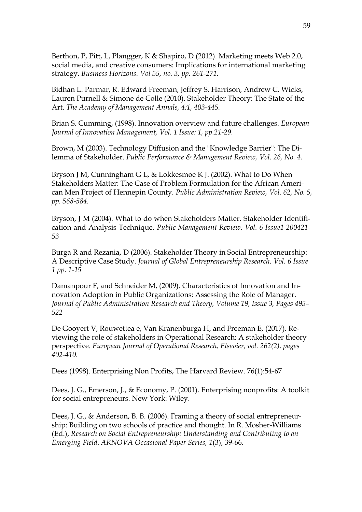Berthon, P, Pitt, L, Plangger, K & Shapiro, D (2012). Marketing meets Web 2.0, social media, and creative consumers: Implications for international marketing strategy. *Business Horizons. Vol 55, no. 3, pp. 261-271.* 

Bidhan L. Parmar, R. Edward Freeman, Jeffrey S. Harrison, Andrew C. Wicks, Lauren Purnell & Simone de Colle (2010). Stakeholder Theory: The State of the Art. *The Academy of Management Annals, 4:1, 403-445.*

Brian S. Cumming, (1998). Innovation overview and future challenges. *European Journal of Innovation Management, Vol. 1 Issue: 1, pp.21-29.* 

Brown, M (2003). Technology Diffusion and the "Knowledge Barrier": The Dilemma of Stakeholder. *Public Performance & Management Review, Vol. 26, No. 4.* 

Bryson J M, Cunningham G L, & Lokkesmoe K J. (2002). What to Do When Stakeholders Matter: The Case of Problem Formulation for the African American Men Project of Hennepin County. *Public Administration Review, Vol. 62, No. 5, pp. 568-584.* 

Bryson, J M (2004). What to do when Stakeholders Matter. Stakeholder Identification and Analysis Technique. *Public Management Review. Vol. 6 Issue1 200421- 53* 

Burga R and Rezania, D (2006). Stakeholder Theory in Social Entrepreneurship: A Descriptive Case Study. *Journal of Global Entrepreneurship Research. Vol. 6 Issue 1 pp. 1-15*

Damanpour F, and Schneider M, (2009). Characteristics of Innovation and Innovation Adoption in Public Organizations: Assessing the Role of Manager. *Journal of Public Administration Research and Theory, Volume 19, Issue 3, Pages 495– 522*

De Gooyert V, Rouwettea e, Van Kranenburga H, and Freeman E, (2017). Reviewing the role of stakeholders in Operational Research: A stakeholder theory perspective. *European Journal of Operational Research, Elsevier, vol. 262(2), pages 402-410.*

Dees (1998). Enterprising Non Profits, The Harvard Review. 76(1):54-67

Dees, J. G., Emerson, J., & Economy, P. (2001). Enterprising nonprofits: A toolkit for social entrepreneurs. New York: Wiley.

Dees, J. G., & Anderson, B. B. (2006). Framing a theory of social entrepreneurship: Building on two schools of practice and thought. In R. Mosher-Williams (Ed.), *Research on Social Entrepreneurship: Understanding and Contributing to an Emerging Field*. *ARNOVA Occasional Paper Series, 1*(3), 39-66.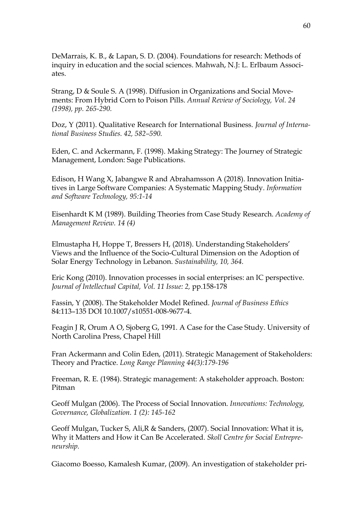DeMarrais, K. B., & Lapan, S. D. (2004). Foundations for research: Methods of inquiry in education and the social sciences. Mahwah, N.J: L. Erlbaum Associates.

Strang, D & Soule S. A (1998). Diffusion in Organizations and Social Movements: From Hybrid Corn to Poison Pills. *Annual Review of Sociology, Vol. 24 (1998), pp. 265-290.* 

Doz, Y (2011). Qualitative Research for International Business. *Journal of International Business Studies. 42, 582–590.* 

Eden, C. and Ackermann, F. (1998). Making Strategy: The Journey of Strategic Management, London: Sage Publications.

Edison, H Wang X, Jabangwe R and Abrahamsson A (2018). Innovation Initiatives in Large Software Companies: A Systematic Mapping Study. *Information and Software Technology, 95:1-14*

Eisenhardt K M (1989). Building Theories from Case Study Research. *Academy of Management Review. 14 (4)*

Elmustapha H, Hoppe T, Bressers H, (2018). Understanding Stakeholders' Views and the Influence of the Socio-Cultural Dimension on the Adoption of Solar Energy Technology in Lebanon. *Sustainability, 10, 364.*

Eric Kong (2010). Innovation processes in social enterprises: an IC perspective. Journal of Intellectual Capital, Vol. 11 Issue: 2, pp.158-178

Fassin, Y (2008). The Stakeholder Model Refined. *Journal of Business Ethics* 84:113–135 DOI 10.1007/s10551-008-9677-4.

Feagin J R, Orum A O, Sjoberg G, 1991. A Case for the Case Study. University of North Carolina Press, Chapel Hill

Fran Ackermann and Colin Eden, (2011). Strategic Management of Stakeholders: Theory and Practice. *Long Range Planning 44(3):179-196*

Freeman, R. E. (1984). Strategic management: A stakeholder approach. Boston: Pitman

Geoff Mulgan (2006). The Process of Social Innovation. *Innovations: Technology, Governance, Globalization. 1 (2): 145-162*

Geoff Mulgan, Tucker S, Ali,R & Sanders, (2007). Social Innovation: What it is, Why it Matters and How it Can Be Accelerated. *Skoll Centre for Social Entrepreneurship.*

Giacomo Boesso, Kamalesh Kumar, (2009). An investigation of stakeholder pri-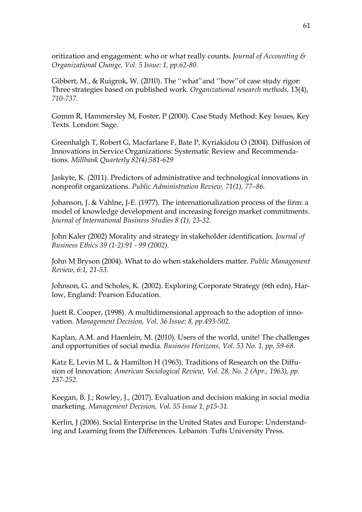oritization and engagement: who or what really counts. *Journal of Accounting & Organizational Change, Vol. 5 Issue: 1, pp.62-80*.

Gibbert, M., & Ruigrok, W. (2010). The ''what''and ''how''of case study rigor: Three strategies based on published work. *Organizational research methods,* 13(4), *710-737.*

Gomm R, Hammersley M, Foster, P (2000). Case Study Method: Key Issues, Key Texts. London: Sage.

Greenhalgh T, Robert G, Macfarlane F, Bate P, Kyriakidou O (2004). Diffusion of Innovations in Service Organizations: Systematic Review and Recommendations. *Millbank Quarterly 82(4):581-629*

Jaskyte, K. (2011). Predictors of administrative and technological innovations in nonprofit organizations. *Public Administration Review, 71(1), 77–86.* 

Johanson, J. & Vahlne, J-E. (1977). The internationalization process of the firm: a model of knowledge development and increasing foreign market commitments. *Journal of International Business Studies 8 (1), 23-32.*

John Kaler (2002) Morality and strategy in stakeholder identification. *Journal of Business Ethics 39 (1-2):91 - 99 (2002).* 

John M Bryson (2004). What to do when stakeholders matter. *Public Management Review, 6:1, 21-53.* 

Johnson, G. and Scholes, K. (2002). Exploring Corporate Strategy (6th edn), Harlow, England: Pearson Education.

Juett R. Cooper, (1998). A multidimensional approach to the adoption of innovation. *Management Decision, Vol. 36 Issue: 8, pp.493-502.* 

Kaplan, A.M. and Haenlein, M. (2010). Users of the world, unite! The challenges and opportunities of social media. *Business Horizons, Vol. 53 No. 1, pp. 59-68.*

Katz E, Levin M L, & Hamilton H (1963). Traditions of Research on the Diffusion of Innovation: *American Sociological Review, Vol. 28, No. 2 (Apr., 1963), pp. 237-252.*

Keegan, B. J.; Rowley, J., (2017). Evaluation and decision making in social media marketing. *Management Decision, Vol. 55 Issue 1, p15-31.* 

Kerlin, J (2006). Social Enterprise in the United States and Europe: Understanding and Learning from the Differences. Lebanon. Tufts University Press.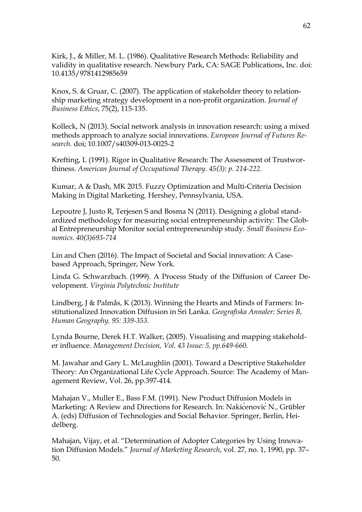Kirk, J., & Miller, M. L. (1986). Qualitative Research Methods: Reliability and validity in qualitative research. Newbury Park, CA: SAGE Publications, Inc. doi: 10.4135/9781412985659

Knox, S. & Gruar, C. (2007). The application of stakeholder theory to relationship marketing strategy development in a non-profit organization. *Journal of Business Ethics*, 75(2), 115-135.

Kolleck, N (2013). Social network analysis in innovation research: using a mixed methods approach to analyze social innovations. *European Journal of Futures Research.* doi; 10.1007/s40309-013-0025-2

Krefting, L (1991). Rigor in Qualitative Research: The Assessment of Trustworthiness. *American Journal of Occupational Therapy. 45(3): p. 214-222.*

Kumar, A & Dash, MK 2015. Fuzzy Optimization and Multi-Criteria Decision Making in Digital Marketing. Hershey, Pennsylvania, USA.

Lepoutre J, Justo R, Terjesen S and Bosma N (2011). Designing a global standardized methodology for measuring social entrepreneurship activity: The Global Entrepreneurship Monitor social entrepreneurship study*. Small Business Economics. 40(3)693-714*

Lin and Chen (2016). The Impact of Societal and Social innovation: A Casebased Approach, Springer, New York.

Linda G. Schwarzbach. (1999). A Process Study of the Diffusion of Career Development. *Virginia Polytechnic Institute*

Lindberg, J & Palmås, K (2013). Winning the Hearts and Minds of Farmers: Institutionalized Innovation Diffusion in Sri Lanka. *Geografiska Annaler: Series B, Human Geography, 95: 339-353.* 

Lynda Bourne, Derek H.T. Walker, (2005). Visualising and mapping stakeholder influence. *Management Decision, Vol. 43 Issue: 5, pp.649-660.* 

M. Jawahar and Gary L. McLaughlin (2001). Toward a Descriptive Stakeholder Theory: An Organizational Life Cycle Approach. Source: The Academy of Management Review, Vol. 26, pp.397-414.

Mahajan V., Muller E., Bass F.M. (1991). New Product Diffusion Models in Marketing: A Review and Directions for Research. In: NakićenovićN., Grübler A. (eds) Diffusion of Technologies and Social Behavior. Springer, Berlin, Heidelberg.

Mahajan, Vijay, et al. "Determination of Adopter Categories by Using Innovation Diffusion Models." *Journal of Marketing Research*, vol. 27, no. 1, 1990, pp. 37– 50.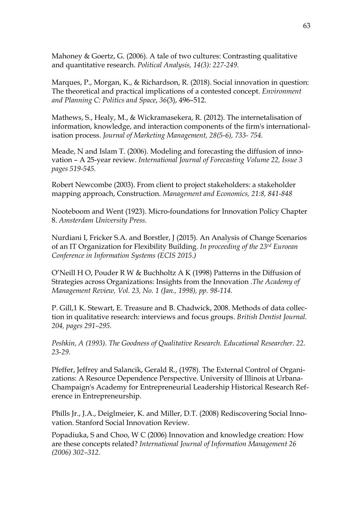Mahoney & Goertz, G. (2006). A tale of two cultures: Contrasting qualitative and quantitative research. *Political Analysis, 14(3): 227-249.* 

Marques, P., Morgan, K., & Richardson, R. (2018). Social innovation in question: The theoretical and practical implications of a contested concept. *Environment and Planning C: Politics and Space*, *36*(3), 496–512.

Mathews, S., Healy, M., & Wickramasekera, R. (2012). The internetalisation of information, knowledge, and interaction components of the firm's internationalisation process. *Journal of Marketing Management, 28(5-6), 733- 754.*

Meade, N and Islam T. (2006). Modeling and forecasting the diffusion of innovation – A 25-year review. *International Journal of Forecasting Volume 22, Issue 3 pages 519-545.* 

Robert Newcombe (2003). From client to project stakeholders: a stakeholder mapping approach, Construction. *Management and Economics, 21:8, 841-848* 

Nooteboom and Went (1923). Micro-foundations for Innovation Policy Chapter 8. *Amsterdam University Press.*

Nurdiani I, Fricker S.A. and Borstler, J (2015). An Analysis of Change Scenarios of an IT Organization for Flexibility Building. *In proceeding of the 23rd Euroean Conference in Information Systems (ECIS 2015.)*

O'Neill H O, Pouder R W & Buchholtz A K (1998) Patterns in the Diffusion of Strategies across Organizations: Insights from the Innovation .*The Academy of Management Review, Vol. 23, No. 1 (Jan., 1998), pp. 98-114.* 

P. Gill,1 K. Stewart, E. Treasure and B. Chadwick, 2008. Methods of data collection in qualitative research: interviews and focus groups. *British Dentist Journal. 204, pages 291–295.*

*Peshkin, A (1993). The Goodness of Qualitative Research. Educational Researcher. 22. 23-29.*

Pfeffer, Jeffrey and Salancik, Gerald R., (1978). The External Control of Organizations: A Resource Dependence Perspective. University of Illinois at Urbana-Champaign's Academy for Entrepreneurial Leadership Historical Research Reference in Entrepreneurship.

Phills Jr., J.A., Deiglmeier, K. and Miller, D.T. (2008) Rediscovering Social Innovation. Stanford Social Innovation Review.

Popadiuka, S and Choo, W C (2006) Innovation and knowledge creation: How are these concepts related? *International Journal of Information Management 26 (2006) 302–312.*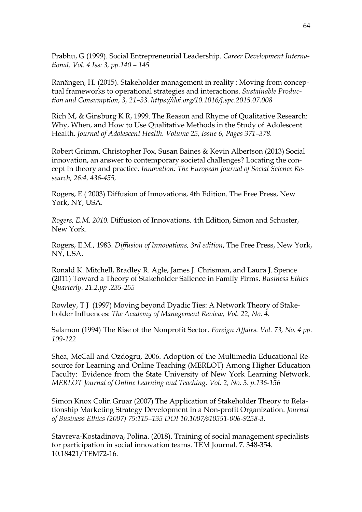Prabhu, G (1999). Social Entrepreneurial Leadership. *Career Development International, Vol. 4 Iss: 3, pp.140 – 145* 

Ranängen, H. (2015). Stakeholder management in reality : Moving from conceptual frameworks to operational strategies and interactions. *Sustainable Production and Consumption, 3, 21–33. https://doi.org/10.1016/j.spc.2015.07.008*

Rich M, & Ginsburg K R, 1999. The Reason and Rhyme of Qualitative Research: Why, When, and How to Use Qualitative Methods in the Study of Adolescent Health. *Journal of Adolescent Health. Volume 25, Issue 6, Pages 371–378.*

Robert Grimm, Christopher Fox, Susan Baines & Kevin Albertson (2013) Social innovation, an answer to contemporary societal challenges? Locating the concept in theory and practice. *Innovation: The European Journal of Social Science Research, 26:4, 436-455,* 

Rogers, E ( 2003) Diffusion of Innovations, 4th Edition. The Free Press, New York, NY, USA.

*Rogers, E.M. 2010.* Diffusion of Innovations*.* 4th Edition, Simon and Schuster, New York.

Rogers, E.M., 1983. *Diffusion of Innovations, 3rd edition*, The Free Press, New York, NY, USA.

Ronald K. Mitchell, Bradley R. Agle, James J. Chrisman, and Laura J. Spence (2011) Toward a Theory of Stakeholder Salience in Family Firms. *Business Ethics Quarterly. 21.2.pp .235-255*

Rowley, T J (1997) Moving beyond Dyadic Ties: A Network Theory of Stakeholder Influences: *The Academy of Management Review, Vol. 22, No. 4.*

Salamon (1994) The Rise of the Nonprofit Sector. *Foreign Affairs. Vol. 73, No. 4 pp. 109-122*

Shea, McCall and Ozdogru, 2006. Adoption of the Multimedia Educational Resource for Learning and Online Teaching (MERLOT) Among Higher Education Faculty: Evidence from the State University of New York Learning Network. *MERLOT Journal of Online Learning and Teaching*. *Vol. 2, No. 3. p.136-156*

Simon Knox Colin Gruar (2007) The Application of Stakeholder Theory to Relationship Marketing Strategy Development in a Non-profit Organization. *Journal of Business Ethics (2007) 75:115–135 DOI 10.1007/s10551-006-9258-3.*

Stavreva-Kostadinova, Polina. (2018). Training of social management specialists for participation in social innovation teams. TEM Journal. 7. 348-354. 10.18421/TEM72-16.